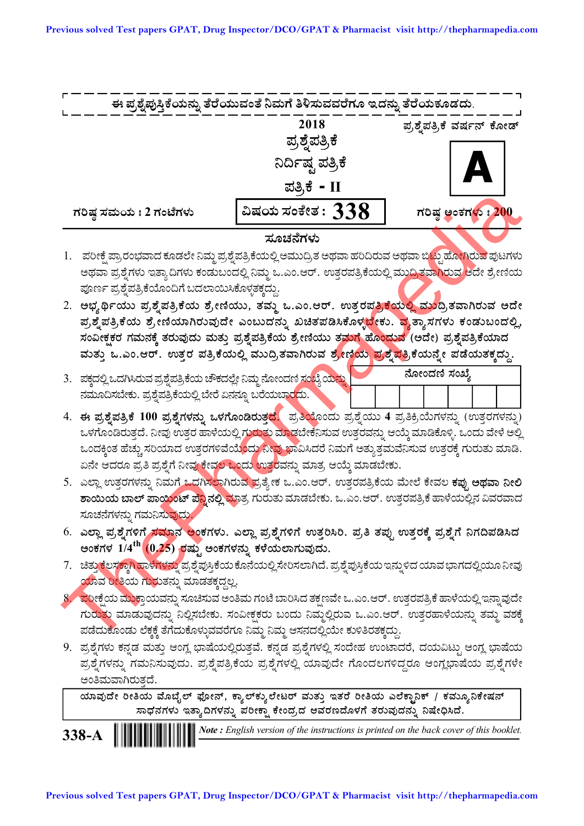

- 1. ಪರೀಕ್ಷೆ ಪ್ರಾರಂಭವಾದ ಕೂಡಲೇ ನಿಮ್ಮ ಪ್ರಶ್ನೆಪತ್ರಿಕೆಯಲ್ಲಿ ಅಮುದ್ರಿತ ಅಥವಾ ಹರಿದಿರುವ ಅಥವಾ ಬಿ<mark>ಟ್ಟು ಹೋಗಿರುವ</mark> ಪುಟಗಳು ಅಥವಾ ಪ್ರಶ್ನೆಗಳು ಇತ್ಯಾ ದಿಗಳು ಕಂಡುಬಂದಲ್ಲಿ ನಿಮ್ಮ ಒ.ಎಂ.ಆರ್. ಉತ್ತರಪತ್ರಿಕೆಯಲ್ಲಿ ಮು<mark>ದ್ರಿತವಾಗಿರುವ ಅ</mark>ದೇ ಶ್ರೇಣಿಯ ಪೂರ್ಣ ಪ್ರಶ್ನೆಪತ್ರಿಕೆಯೊಂದಿಗೆ ಬದಲಾಯಿಸಿಕೊಳ್ಳತಕ್ಕದ್ದು.
- 2. ಅಭ್ಯರ್ಥಿಯು ಪ್ರಶ್ನೆಪತ್ರಿಕೆಯ ಶ್ರೇಣಿಯು, ತಮ್ಮ ಒ.ಎಂ.ಆರ್. ಉತ್ತರಪ<mark>ತ್ರಿಕೆಯಲ್ಲಿ ಮು</mark>ದ್ರಿತವಾಗಿರುವ ಅದೇ ಪ್ರಶ್ನೆಪತ್ರಿಕೆಯ ಶ್ರೇಣಿಯಾಗಿರುವುದೇ ಎಂಬುದನ್ನು ಖಚಿತಪಡಿಸಿಕೊಳ್ಳಬೇಕು. ವ್ಯತ್ಯಾಸಗಳು ಕಂಡುಬಂದಲ್ಲಿ, ಸಂವೀಕ್ಷಕರ ಗಮನಕ್ಕೆ ತರುವುದು ಮತ್ತು ಪ್ರಶ್ನೆಪತ್ರಿಕೆಯ ಶ್ರೇಣಿಯು ತ<mark>ಮಗೆ ಹೊಂದುವ</mark> (ಅದೇ) ಪ್ರಶ್ನೆಪತ್ರಿಕೆಯಾದ ಮತ್ತು ಒ.ಎಂ.ಆರ್. ಉತ್ತರ ಪತ್ರಿಕೆಯಲ್ಲಿ ಮುದ್ರಿತವಾಗಿರುವ ಶ್ರೇಣ<mark>ಿಯ ಪ್ರಶ್ನೆಪ</mark>ತ್ರಿಕೆಯನ್ನೇ ಪಡೆಯತಕ್ಕದ್ದು.

| - ಪಕ್ತದಲ್ಲಿ ಒದಗಿಸಿರುವ ಪ್ರಶ್ನೆಪತ್ರಿಕೆಯ ಚೌಕದಲ್ಲೇ ನಿಮ್ಮ ನೋಂದಣಿ ಸಂಖ್ಯೆ ಯನ್ನು <mark>ಸ</mark> | ನೋಂದಣಿ ಸಂಖ್ಯೆ |  |  |  |  |  |
|-----------------------------------------------------------------------------------------|---------------|--|--|--|--|--|
|                                                                                         |               |  |  |  |  |  |

- 4. D ±ÜÅÍæ°±Ü£ÅPæ 100 ±ÜÅÍæ°WÜÙÜ®Üá° JÙÜWæãíwÃÜáñܤ¨æ. ±ÜÅ£Áãí¨Üá ±ÜÅÍæ°¿áá 4 ±ÜÅ£QÅÁáWÜÙÜ®Üá° (EñܤÃÜWÜÙÜ®Üá°) ಒಳಗೊಂಡಿರುತ್ತದೆ. ನೀವು ಉತ್ತರ ಹಾಳೆಯಲ್ಲಿ <mark>ಗುರುತು ಮಾಡ</mark>ಬೇಕೆನಿಸುವ ಉತ್ತರವನ್ನು ಆಯ್ಕೆ ಮಾಡಿಕೊಳ್ಳಿ. ಒಂದು ವೇಳೆ ಅಲ್ಲಿ ಒಂದಕ್ಕಿಂತ ಹೆಚ್ಚು ಸರಿಯಾದ ಉತ್ತರಗಳಿವೆಯೆ<mark>ಂದು ನೀವು ಭಾ</mark>ವಿಸಿದರೆ ನಿಮಗೆ ಅತ್ತುತ್ತಮವೆನಿಸುವ ಉತ್ತರಕ್ಕೆ ಗುರುತು ಮಾಡಿ. ಏನೇ ಆದರೂ ಪ್ರತಿ ಪ್ರಶ್ನೆಗೆ ನೀವ<del>ು ಕೇವಲ ಒಂದು ಉತ್ತರ</del>ವನ್ನು ಮಾತ್ರ ಆಯ್ತೆ ಮಾಡಬೇಕು.
- 5. ಎಲ್ಲಾ ಉತ್ತರಗಳನ್ನು ನಿಮಗ<mark>ೆ ಒದಗಿಸಲಾಗಿರುವ ಪ್ರ</mark>ತ್ಯೇಕ ಒ.ಎಂ.ಆರ್. ಉತ್ತರಪತ್ರಿಕೆಯ ಮೇಲೆ ಕೇವಲ **ಕಪ್ಪು ಅಥವಾ ನೀಲಿ** <mark>ಶಾಯಿಯ ಬಾಲ್ ಪಾಯಿಂಟ್ ಪೆನ್ನಿನಲ್ಲಿ ಮ</mark>ಾತ್ರ ಗುರುತು ಮಾಡಬೇಕು. ಒ.ಎಂ.ಆರ್. ಉತ್ತರಪತ್ರಿಕೆ ಹಾಳೆಯಲ್ಲಿನ ವಿವರವಾದ <u>ಸೂಚನೆಗಳನ್ನು ಗಮನಿಸುವುದು.</u>
- 6. ಎಲ್ಲಾ ಪ್ರಶ್ನೆಗಳಿಗ<mark>ೆ ಸಮಾನ ಅಂ</mark>ಕಗಳು. ಎಲ್ಲಾ ಪ್ರಶ್ನೆಗಳಿಗೆ ಉತ್ತರಿಸಿರಿ. ಪ್ರತಿ ತಪ್ಪು ಉತ್ತರಕ್ಕೆ ಪ್ರಶ್ನೆಗೆ ನಿಗದಿಪಡಿಸಿದ ಅಂಕಗಳ  $1/4^{\text{th}}$   $(0.25)$  ರಷ್ಟು ಅಂಕಗಳನ್ನು ಕಳೆಯಲಾಗುವುದು.
- 7. ಚಿತ್ತು ಕೆಲಸಕ್ಕಾಗಿ ಹಾಳೆಗಳನ್ನು ಪ್ರಶ್ನೆಪುಸ್ತಿಕೆಯ ಕೊನೆಯಲ್ಲಿ ಸೇರಿಸಲಾಗಿದೆ. ಪ್ರಶ್ನೆಪುಸ್ತಿಕೆಯ ಇನ್ನುಳಿದ ಯಾವ ಭಾಗದಲ್ಲಿಯೂ ನೀವು <mark>ಯಾವ ರೀತಿಯ ಗುರು</mark>ತನ್ನು ಮಾಡತಕ್ಕದ್ದಲ್ಲ.
- <mark>8. ಪ</mark>ರೀಕ್ಷೆಯ ಮುಕ್ತಾಯವನ್ನು ಸೂಚಿಸುವ ಅಂತಿಮ ಗಂಟೆ ಬಾರಿಸಿದ ತಕ್ಷಣವೇ ಒ.ಎಂ.ಆರ್. ಉತ್ತರಪತ್ರಿಕೆ ಹಾಳೆಯಲ್ಲಿ ಇನ್ನಾವುದೇ ಗುರುತು ಮಾಡುವುದನ್ನು ನಿಲ್ಲಿಸಬೇಕು. ಸಂವೀಕ್ಷಕರು ಬಂದು ನಿಮ್ಮಲ್ಲಿರುವ ಒ.ಎಂ.ಆರ್. ಉತ್ತರಹಾಳೆಯನ್ನು ತಮ್ಮ ವಶಕ್ಕೆ <u>ಪಡೆದುಕೊಂಡು ಲೆಕ್ಕಕ್ಕೆ</u> ತೆಗೆದುಕೊಳ್ಳುವವರೆಗೂ ನಿಮ್ಮ ನಿಮ್ಮ ಆಸನದಲ್ಲಿಯೇ ಕುಳಿತಿರತಕ್ಕದ್ದು.
- 9. ಪ್ರಶ್ನೆಗಳು ಕನ್ನಡ ಮತ್ತು ಆಂಗ್ಲ ಭಾಷೆಯಲ್ಲಿರುತ್ತವೆ. ಕನ್ನಡ ಪ್ರಶ್ನೆಗಳಲ್ಲಿ ಸಂದೇಹ ಉಂಟಾದರೆ, ದಯವಿಟ್ಟು ಆಂಗ್ಲ ಭಾಷೆಯ ಪ್ರಶ್ನೆಗಳನ್ನು ಗಮನಿಸುವುದು. ಪ್ರಶ್ನೆಪತ್ರಿಕೆಯ ಪ್ರಶ್ನೆಗಳಲ್ಲಿ ಯಾವುದೇ ಗೊಂದಲಗಳಿದ್ದರೂ ಆಂಗ್ಲಭಾಷೆಯ ಪ್ರಶ್ನೆಗಳೇ ಅಂತಿಮವಾಗಿರುತ್ತದೆ.

ಯಾವುದೇ ರೀತಿಯ ಮೊಬೈಲ್ ಫೋನ್, ಕ್ಯಾಲ್ ಕ್ಯುಲೇಟರ್ ಮತ್ತು ಇತರೆ ರೀತಿಯ ಎಲೆಕ್ಟಾನಿಕ್ / ಕಮ್ಯೂನಿಕೇಷನ್ ಸಾಧನಗಳು ಇತ್ಯಾದಿಗಳನ್ನು ಪರೀಕ್ಷಾ ಕೇಂದ್ರದ ಆವರಣದೊಳಗೆ ತರುವುದನ್ನು ನಿಷೇಧಿಸಿದೆ.

338-A **Note:** English version of the instructions is printed on the back cover of this booklet.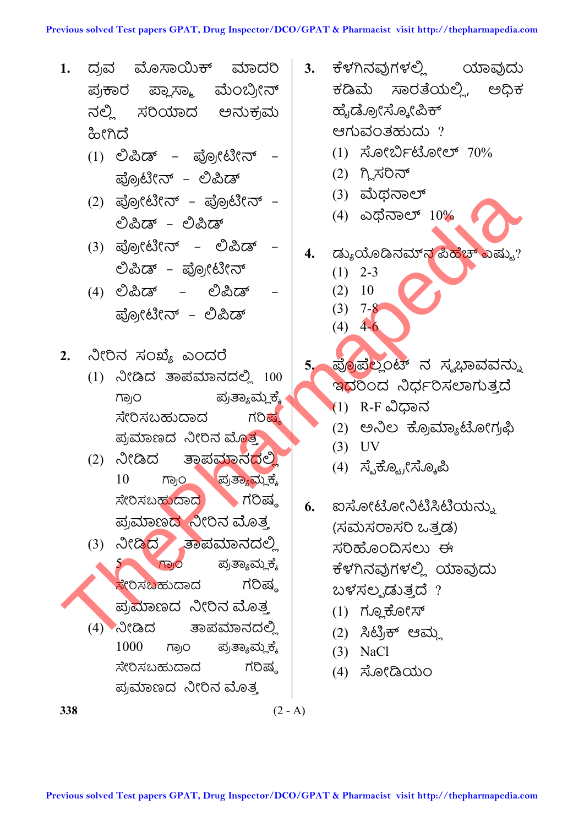- 1. ದ್ರವ ಮೊಸಾಯಿಕ್ ಮಾದರಿ ಪ್ರಕಾರ ಪ್ಲಾಸ್ಮಾ ಮೆಂಬ್ರೀನ್ ನಲಿ ಸರಿಯಾದ ಅನುಕ್ರಮ ಹೀಗಿದೆ
	- $(1)$  එಪಿಡ್ ಫೋಟೀನ್ ಫ್ರೋಟೀನ್ – ಲಿಪಿಡ್
	- (2) ಪ್ರೋಟೀನ್ ಪ್ರೊಟೀನ್ ಲಿಪಿಡ್ – ಲಿಪಿಡ್
	- (3) ಪ್ರೋಟೀನ್ ಲಿಪಿಡ್ ಲಿಪಿಡ್ – ಪೋಟೀನ್
	- (4) ಲಿಪಿಡ್ ಲಿಪಿಡ್ ಫ್ರೋಟೀನ್ - ಲಿಪಿಡ್
- 2. ನೀರಿನ ಸಂಖ್ಯೆ ಎಂದರೆ
	- $(1)$  ನೀಡಿದ ತಾಪಮಾನದಲ್ಲಿ  $100$ ಗ್ರಾಂ ಪ್ರತ್ಯಾಮ್ಲಕ್ಕೆ ಸೇರಿಸಬಹುದಾದ ಗರಿಷ ಪ್ರಮಾಣದ ನೀರಿನ ಮೊತ್ತ
	- (2) ನೀಡಿದ ತಾಪಮಾನದಲಿ  $10$   $\frac{10}{2}$   $\frac{10}{2}$   $\frac{10}{2}$   $\frac{10}{2}$   $\frac{10}{2}$   $\frac{10}{2}$   $\frac{10}{2}$   $\frac{10}{2}$   $\frac{10}{2}$   $\frac{10}{2}$   $\frac{10}{2}$   $\frac{10}{2}$   $\frac{10}{2}$   $\frac{10}{2}$   $\frac{10}{2}$   $\frac{10}{2}$   $\frac{10}{2}$   $\frac{10}{2}$   $\frac{10}{2}$   $\frac{10}{$ ಸೇರಿಸಬಹುದಾದ ಗರಿಷ್ಠ ಪ್ರಮಾಣದ ನೀರಿನ ಮೊತ್ತ
	- $(3)$  ನೀಡಿದ ತಾಪಮಾನದಲ್ಲಿ 5 ಗ್ರಾಂ ಪ್ರತ್ಯಾಮ್ಲಕ್ಕೆ ಸೇರಿಸಬಹುದಾದ ಗರಿಷ್ಠ ಪುಮಾಣದ ನೀರಿನ ಮೊತ (4) ನೀಡಿದ ತಾಪಮಾನದಲಿ  $1000$  ಗ್ರಾಂ ಪ್ರತ್ಯಾಮ್ಲಕ್ಕೆ ಸೇರಿಸಬಹುದಾದ ಗರಿಷ್ಠ ಪ್ರಮಾಣದ ನೀರಿನ ಮೊತ್ತ
- 3. ಕೆಳಗಿನವುಗಳಲಿ ಯಾವುದು ಕಡಿಮೆ ಸಾರತೆಯಲಿ, ಅಧಿಕ ಹೈಡ್ರೋಸ್ಕೋಪಿಕ್ ಆಗುವಂತಹುದು ?  $(1)$  ಸೋರ್ಬಿಟೋಲ್  $70\%$ (2) ಗ್ಲಿಸರಿನ್  $(3)$  ಮೆಥನಾಲ್  $(4)$  ಎಥೆನಾಲ್  $10\%$ 4. ಡ್ಯುಯೊಡಿನಮ್ನ ಪಿಹೆಚ್ ಎಷ್ಟು?  $(1)$  2-3 (2) 10  $(3)$  7-8  $(4)$  4-6 5. ಪೊಪಲ್ಲಂಟ್ ನ ಸ್ವಭಾವವನ್ನು ಇದರಿಂದ ನಿರ್ಧರಿಸಲಾಗುತ್ತದೆ  $(1)$  R-F ವಿಧಾನ (2) ಅನಿಲ ಕ್ರೊಮ್ಯಾಟೋಗ $\alpha$  (3) UV  $(4)$   $\vec{r}_a \vec{r}_b \vec{e}_a$   $(\vec{r}_b \vec{e}_b \vec{e}_b)$ 6. ಐಸೋಟೋನಿಟಿಸಿಟಿಯನ್ನು (ಸಮಸರಾಸರಿ ಒತ್ತಡ) ಸರಿಹೊಂದಿಸಲು ಈ ಕೆಳಗಿನವುಗಳಲ್ಲಿ ಯಾವುದು ಬಳಸಲ್ಪಡುತ್ತದೆ ?  $(1)$  ಗ್ಲೂಕೋಸ್  $(2)$  ಸಿಟೈಕ್ ಆಮ್ Therian solved Test paper GPAT, Drug Importance of OCPAT & Pharmacist visit https://thepharmapedia.com<br>
agreed as a contraction of the action of the contraction of the contraction of the contraction of the contraction of
	- (3) NaCl
	- $(4)$  ಸೋಡಿಯಂ

338 (2 - A)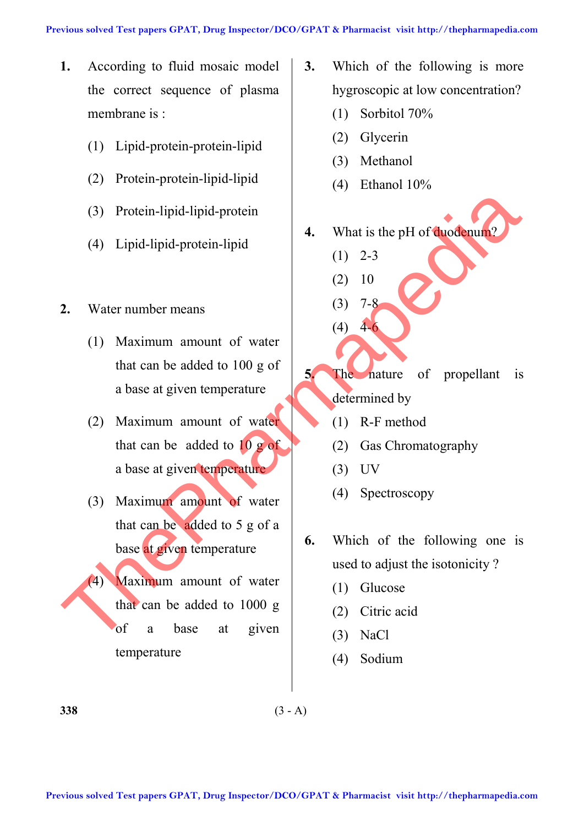- 1. According to fluid mosaic model the correct sequence of plasma membrane is :
	- (1) Lipid-protein-protein-lipid
	- (2) Protein-protein-lipid-lipid
	- (3) Protein-lipid-lipid-protein
	- (4) Lipid-lipid-protein-lipid
- 2. Water number means
	- (1) Maximum amount of water that can be added to 100 g of a base at given temperature
	- (2) Maximum amount of water that can be added to  $10 \text{ g of}$ a base at given temperature
	- (3) Maximum amount of water that can be added to 5 g of a base at given temperature
- (4) Maximum amount of water that can be added to 1000 g of a base at given temperature (3) Protein-lipid-lipid-protein<br>
(4) Lipid-lipid-protein-lipid<br>
(4) Lipid-lipid-protein-lipid<br>
(1) 2-3<br>
(2) 10<br>
2. Water number means<br>
(1) Maximum amount of water<br>
that can be added to 100 g of<br>
a base at given temperatur
- 3. Which of the following is more hygroscopic at low concentration?
	- (1) Sorbitol 70%
	- (2) Glycerin
	- (3) Methanol
	- (4) Ethanol 10%
- 4. What is the pH of duodenum?
	- $(1)$  2-3 (2) 10

 $(3)$  7-8

- $(4)$  4-6
- 5. The nature of propellant is determined by
	- (1) R-F method
	- (2) Gas Chromatography
	- (3) UV
	- (4) Spectroscopy
- 6. Which of the following one is used to adjust the isotonicity ?
	- (1) Glucose
	- (2) Citric acid
	- (3) NaCl
	- (4) Sodium

338 (3 - A)

**Previous solved Test papers GPAT, Drug Inspector/DCO/GPAT & Pharmacist visit http://thepharmapedia.com**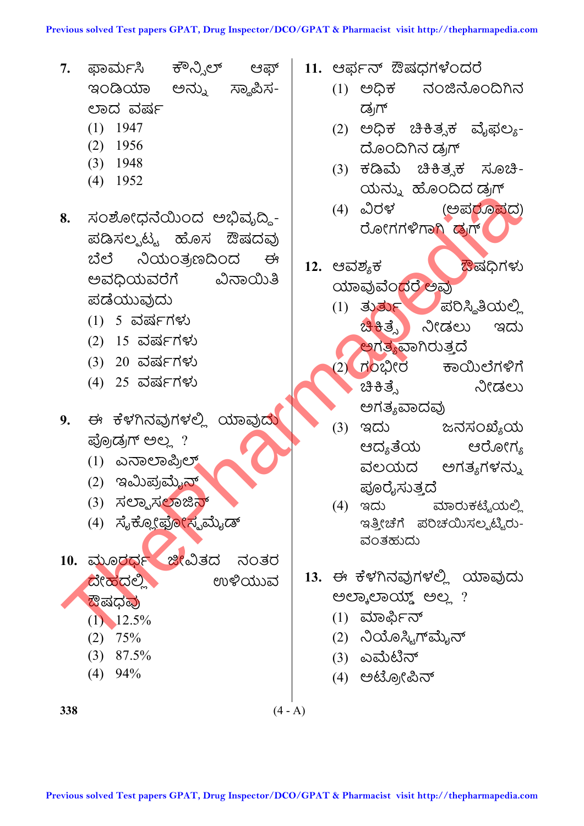- 7. ಪಾರ್ಮಸಿ ಕೌನ್ಸಿಲ್ ಆಫ್ ಇಂಡಿಯಾ ಅನ್ನು ಸ್ಮಾಪಿಸ-ಲಾದ ವರ್ಷ
	- (1) 1947
	- (2) 1956
	- (3) 1948
	- (4) 1952
- 8. ಸಂಶೋಧನೆಯಿಂದ ಅಭಿವೃದ್ಧಿ-ಪಡಿಸಲ್ಪಟ್ಟ ಹೊಸ ಔಷದವು ಬೆಲೆ ನಿಯಂತ್ರಣದಿಂದ ಈ ಅವಧಿಯವರೆಗೆ ವಿನಾಯಿತಿ ಪಡೆಯುವುದು Previous solved Test paper GPAT, Drug Inspector/DCO/GPAT & Pharmacist visit https://thepharmapedia.com<br>
2006.0000 exclusives exclusives of the state of the conditions of the conditions of the conditions of the conditions
	- $(1)$  5 ವರ್ಷಗಳು
	- $(2)$  15 ವರ್ಷಗಳು
	- $(3)$   $20$  ವರ್ಷಗಳು
	- $(4)$  25 ವರ್ಷಗಳು
	- 9. ಈ ಕೆಳಗಿನವುಗಳಲ್ಲಿ ಯಾವುದು ಪ್ರೊಡ್ರಗ್ ಅಲ್ಲ ?
		- $(1)$  ಎನಾಲಾಪ್ರಿಲ್
		- $(2)$  ಇಮಿಪ್ರಮೈನ್
		- (3) ಸಲ್ಮಾಸ<mark>ಲಾಜಿನ್</mark>
		- $(4)$   $\vec{\lambda}_i$ ಕ್ಕೋಫೋಸ್ಸ್ಮಮೈಡ್
	- 10. ಮೂರರ್ಧ ಜೀವಿತದ ನಂತರ ದೇಹದಲ್ಲಿ ಉಳಿಯುವ ಔಷದವು  $(1)$  12.5% (2) 75% (3) 87.5%
		- (4) 94%
			-
- 11. ಆರ್ಫನ್ ಔಷಧಗಳೆಂದರೆ
	- (1) ಅಧಿಕ ನಂಜಿನೊಂದಿಗಿನ ಡುಗ್
		- (2) ಅಧಿಕ ಚಿಕಿತ್ಸಕ ವೈಫಲ<sub>೩</sub>-ದೊಂದಿಗಿನ ಡ್ರಗ್
		- (3) ಕಡಿಮೆ ಚಿಕಿತ್<del>ವ</del>ಕ ಸೂಚಿ-ಯನ್ನು ಹೊಂದಿದ ಡ್ರಗ್
	- (4) ವಿರಳ (ಅಪ<mark>ರೂಪ</mark>ದ) ರೋಗಗಳಿಗಾಗಿ ಡ್ರಗ್
- 12. ಆವಶ್ಯಕ ಮಾಡಿಗಳು ಯಾವುವೆಂದರೆ ಅವು
	- $(1)$  ತುರ್ತು ಪರಿಸ್ಥಿತಿಯಲಿ <mark>ಚಿಕಿತ್ಸೆ)</mark> ನೀಡಲು ಇದು ಅಗತ್ಯವಾಗಿರುತ್ತದೆ
	- (2) ಗಂಬೀರ ಕಾಯಿಲೆಗಳಿಗೆ ಚಿಕಿತ್ಸೆ ನೀಡಲು ಅಗತ್ಯವಾದವು
		- (3) ಇದು ಜನಸಂಖ್ಯೆಯ ಆದ್ಯತೆಯ ಆರೋಗ್ಯ ವಲಯದ ಅಗತ್ಯಗಳನ್ನು ಪೂರೈಸುತ್ತದೆ
	- (4) ಇದು ಮಾರುಕಟ್ಟೆಯಲ್ಲಿ ಇತ್ತೀಚೆಗೆ ಪರಿಚಯಿಸಲ್ಪಟ್ಟಿರು-ವಂತಹುದು
- 13. ಈ ಕೆಳಗಿನವುಗಳಲ್ಲಿ ಯಾವುದು ಅಲ್ಯಾಲಯ್ಯ ಅಲ್ಲ ?
	- $(1)$  ಮಾರ್ಫಿನ್
	- (2) ನಿಯೊಸ್ಟಿಗ್ ಮೈನ್
	- $(3)$  ಎಮೆಟೆನ್
	- (4) **ಅಟೋಪಿ**ನ್

338 (4 - A)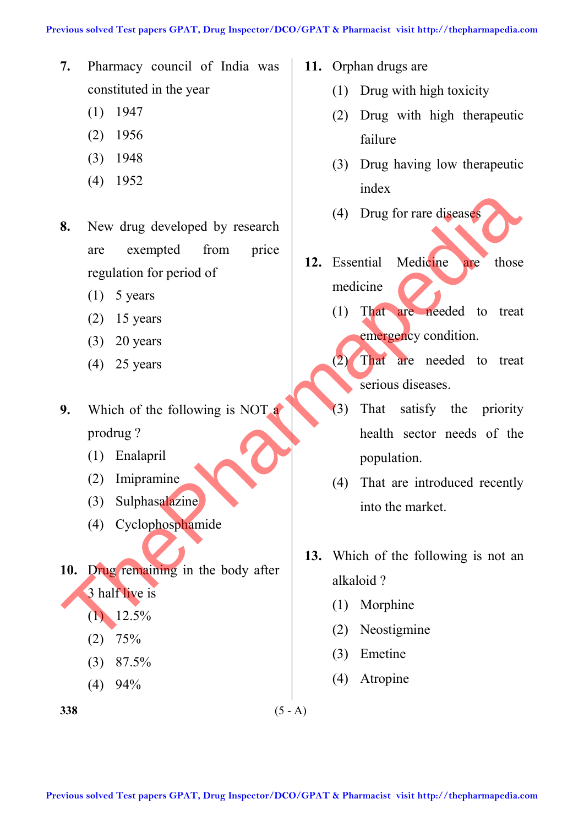- 7. Pharmacy council of India was constituted in the year
	- (1) 1947
	- (2) 1956
	- (3) 1948
	- (4) 1952
- 8. New drug developed by research are exempted from price regulation for period of Previous solved Test papers GPAT, Drug Inspector/DCO/GPAT & Pharmacist visit http://thepharmapedia.com<br>
(1) Drug with high thoracist<br>
(1) 1947<br>
(2) Drug with high thoracist<br>
(2) 1956<br>
(3) 1948<br>
(4) 1952<br>
(3) Drug having lo
	- $(1)$  5 years
	- (2) 15 years
	- (3) 20 years
	- (4) 25 years
	- 9. Which of the following is NOT a prodrug ?
		- (1) Enalapril
		- (2) Imipramine
		- (3) Sulphasalazine
		- (4) Cyclophosphamide
	- 10. Drug remaining in the body after 3 half live is
		- $(1)$  12.5%
		- (2) 75%
		- (3) 87.5%
		- $(4)$  94%
	- 338 (5 A)
- 11. Orphan drugs are
	- (1) Drug with high toxicity
	- (2) Drug with high therapeutic failure
	- (3) Drug having low therapeutic index
	- (4) Drug for rare diseases
- 12. Essential Medicine are those medicine
	- (1) That are needed to treat emergency condition.
	- (2) That are needed to treat serious diseases.
	- (3) That satisfy the priority health sector needs of the population.
	- (4) That are introduced recently into the market.
- 13. Which of the following is not an alkaloid ?
	- (1) Morphine
	- (2) Neostigmine
	- (3) Emetine
	- (4) Atropine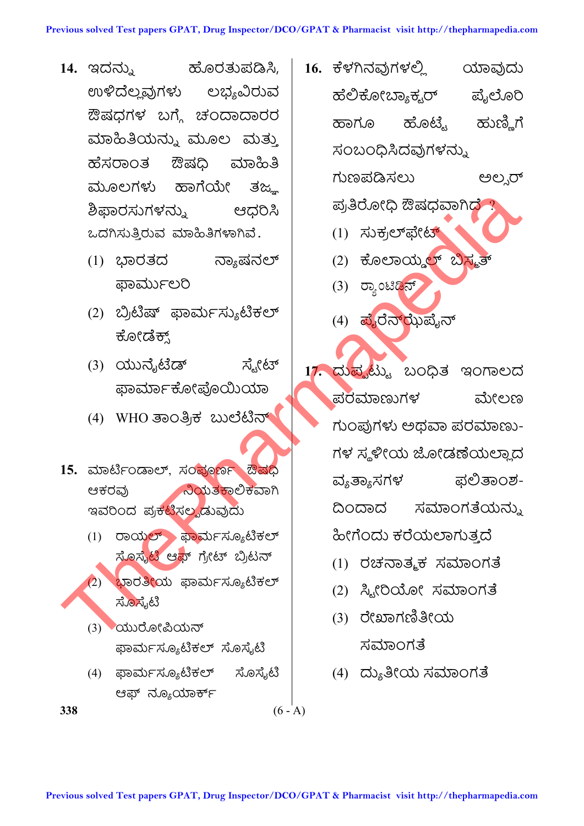- 14. ಇದನು, ಹೊರತುಪಡಿಸಿ, ಉಳಿದೆಲ್ಲವುಗಳು ಲಭ್ಯವಿರುವ ಔಷಧಗಳ ಬಗ್ಗೆ ಚಂದಾದಾರರ ಮಾಹಿತಿಯನ್ನು ಮೂಲ ಮತ್ತು ಹೆಸರಾಂತ ಔಷದಿ ಮಾಹಿತಿ ಮೂಲಗಳು ಹಾಗೆಯೇ ತಜ್ಞ ಶಿಪಾರಸುಗಳನ್ನು ಆಧರಿಸಿ ಒದಗಿಸುತ್ತಿರುವ ಮಾಹಿತಿಗಳಾಗಿವೆ.
	- (1) ಭಾರತದ ನ್ಯಾಷನಲ್ ಪಾರ್ಮುಲರಿ
	- (2) ಬ್ರಿಟಿಷ್ ಫಾರ್ಮಸ್ಯುಟಿಕಲ್ ಕೋಡೆಕ್ಸ್
	- (3) ಯುನೈಟೆಡ್ ಸ್ಟೇಟ್ ಪಾರ್ಮಾಕೋಪೊಯಿಯಾ
	- $(4)$  WHO ತಾಂತ್ರಿಕ ಬುಲೆಟಿನ್
- 15. ಮಾರ್ಟಿಂಡಾಲ್, ಸಂಪೂರ್ಣ ಔಷಧಿ ಆಕರವು *ನಿ*ಯತಕಾಲಿಕವಾಗಿ ಇವರಿಂದ ಪ್<del>ರಕಟಿಸಲ್</del>ಯಡುವುದು
	- $(1)$  ರಾಯಲ್ ಫಾರ್ಮಸ್ಯೂಟಿಕಲ್ ಸೊಸೈಟಿ ಆಫ್ ಗ್ರೇಟ್ ಬ್ರಿಟನ್
	- (2) ಭಾರತೀಯ ಫಾರ್ಮಸ್ಯೂಟಿಕಲ್ ಸೊಸ್ಟೆಟಿ
	- (3) ಯುರೋಪಿಯನ್ ಪಾರ್ಮಸ್ಯೂಟಿಕಲ್ ಸೊಸೈಟಿ
	- (4) ಪಾರ್ಮಸ್ಯೂಟಿಕಲ್ ಸೊಸೈಟಿ ಆಫ್ ನ್ಯೂಯಾರ್ಕ್
- 16. ಕೆಳಗಿನವುಗಳಲ್ಲಿ ಯಾವುದು ಹಲಿಕೋಬ್ಯಾಕ್ಟರ್ ಪೈಲೊರಿ ಹಾಗೂ ಹೊಟ್ಟೆ ಹುಣ್ಣಿಗೆ ಸಂಬಂಧಿಸಿದವುಗಳನ್ನು ಗುಣಪಡಿಸಲು ಅಲ್ಸರ್ ಪ್ರತಿರೋಧಿ ಔಷಧವಾಗಿದೆ  $(1)$  ಕುಕ $\mathbb{C}$ ಪೇಟ್  $(2)$  ಕೊಲಾಯ್ನಲ್ ಬಿಸ್ಮತ್ (3) ರಾ<sub>ಂ</sub>ಟಿಡಿನ್ ThePharmapedia **Previous solved Test papers GPAT, Drug Inspector/DCO/GPAT & Pharmacist visit http://thepharmapedia.com**
	- (4) ಪೈರೆನ್**ಯಿಪ್ಟೆನ್**

17. ದುಪ್ಪಟ್ಟು ಬಂಧಿತ ಇಂಗಾಲದ ಪರಮಾಣುಗಳ ಮೇಲಣ ಗುಂಪುಗಳು ಅಥವಾ ಪರಮಾಣು-ಗಳ ಸ್ಥಳೀಯ ಜೋಡಣೆಯಲ್ಲಾದ ವ್ಯತ್ಯಾಸಗಳ ಪಲಿತಾಂಶ-ದಿಂದಾದ ಸಮಾಂಗತೆಯನ್ನು ಹೀಗೆಂದು ಕರೆಯಲಾಗುತ್ತದೆ

- (1) ರಚನಾತ್ಮಕ ಸಮಾಂಗತೆ
- (2) ಸ್ಟೀರಿಯೋ ಸಮಾಂಗತೆ
- $(3)$  ರೇಖಾಗಣಿತೀಯ ಸಮಾಂಗತೆ
- (4) ದ್ಯುತೀಯ ಸಮಾಂಗತೆ

338 (6 - A)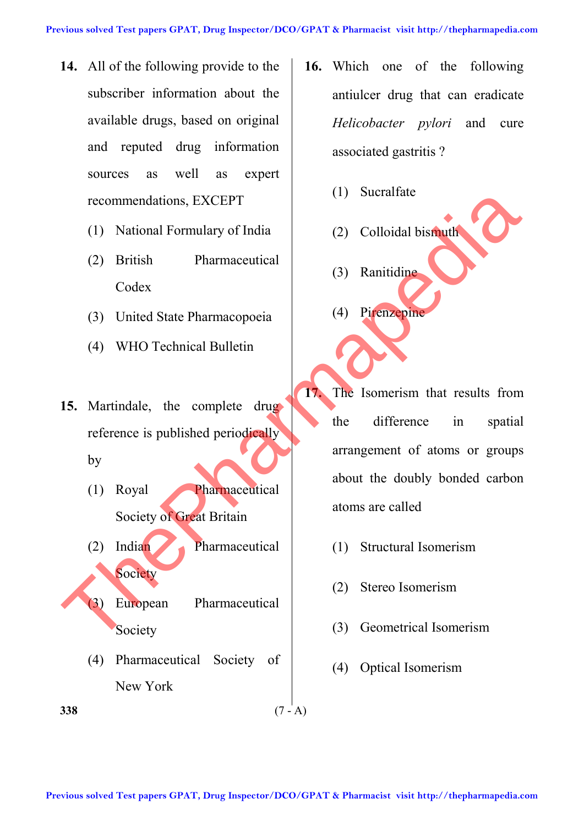- 14. All of the following provide to the subscriber information about the available drugs, based on original and reputed drug information sources as well as expert recommendations, EXCEPT Previous solved Test papers GPAT, Drug Inspector/DCO/GPAT & Pharmacist visit http://thepharmapedia.com<br>
14. All of the following provide to the **article** and the anticle drug information about the anticle anticle and reput
	- (1) National Formulary of India
	- (2) British Pharmaceutical **Codex**
	- (3) United State Pharmacopoeia
	- (4) WHO Technical Bulletin
	- 15. Martindale, the complete drug reference is published periodically by
		- (1) Royal Pharmaceutical Society of Great Britain
		- (2) Indian Pharmaceutical

**Society** 

- (3) European Pharmaceutical Society
- (4) Pharmaceutical Society of New York

338 (7 - A)

- 16. Which one of the following antiulcer drug that can eradicate Helicobacter pylori and cure associated gastritis ?
	- (1) Sucralfate
	- (2) Colloidal bismuth
	- (3) Ranitidine
	- (4) Pirenzepine
- 17. The Isomerism that results from the difference in spatial arrangement of atoms or groups about the doubly bonded carbon atoms are called
	- (1) Structural Isomerism
	- (2) Stereo Isomerism
	- (3) Geometrical Isomerism
	- (4) Optical Isomerism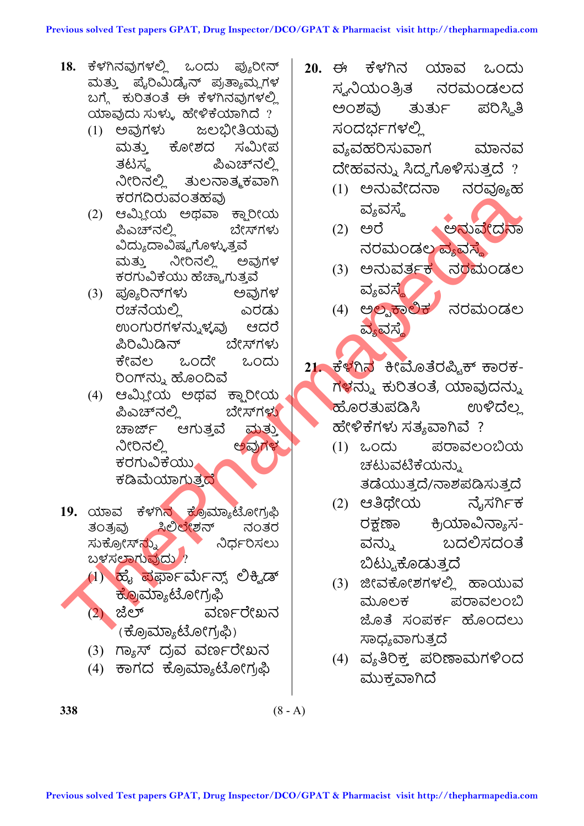- 18. ಕೆಳಗಿನವುಗಳಲ್ಲಿ ಒಂದು ಪ್ಯುರೀನ್ ಮತ್ತು ಪೈರಿಮಿಡೈನ್ ಪ್ರತ್ಯಾಮ್ಲಗಳ ಬಗ್ಗೆ ಕುರಿತಂತೆ ಈ ಕೆಳಗಿನವುಗಳಲ್ಲಿ ಯಾವುದು ಸುಳ್ಳು ಹೇಳಿಕೆಯಾಗಿದೆ ?
	- (1) ಅವುಗಳು ಜಲಭೀತಿಯವು ಮತು ಕೋಶದ ಸಮೀಪ ತಟಸ್ತ ಪಿಎಚ್ನಲಿ ನೀರಿನಲ್ಲಿ ತುಲನಾತ್ಮಕವಾಗಿ ಕರಗದಿರುವಂತಹವು
	- $(2)$  ಆಮ್ಲೀಯ ಅಥವಾ ಕ್ಯಾರೀಯ ಪಿಎಚ್ನಲ್ಲಿ ಬೇಸ್ಗಳು ವಿದ್ಯುದಾವಿಷ್<mark>ಟ</mark>ಗೊಳ್ಳುತ್ತವೆ ಮತು ನೀರಿನಲಿ ಅವುಗಳ ಕರಗುವಿಕೆಯು ಹೆಚ್ಚಾಗುತ್ತವೆ
	- (3) ಪ್ಯೂರಿನ್ಗಳು ಅವುಗಳ ರಚನೆಯಲಿ ಎರಡು ಉಂಗುರಗಳನ್ನುಳ್ಳವು ಆದರೆ ಪಿರಿಮಿಡಿನ್ ಬೇಸ್ಗಳು ಕೇವಲ ಒಂದೇ ಒಂದು ರಿಂಗ್ಸ್ನು ಹೊಂದಿವೆ
	- (4) ಆಮ್ಲೀಯ ಅಥವ ಕ್ವಾರೀಯ ಪಿಎಚ್ನಲ್ಲಿ ಬೇಸ್ಗಳ<mark>ು</mark> ಚಾರ್ಜ್ ಆಗುತ್ತವೆ ಮತ್ತು ನೀರಿನಲ್ಲಿ ಅವುಗಳ ಕರಗುವಿಕೆಯು <u>ಕಡಿಮೆಯಾಗುತ್ತದೆ</u>
- 19. ಯಾವ ಕೆಳಗಿನ ಕೊಮ್ಯಾಟೋಗ್ರಫಿ ತಂತ್ರವು ಸಿಲಿಲೇಶನ್ ನಂತರ ಸುಕೋಸ್ಮಾನಿ ನಿರ್ಧರಿಸಲು ಬಳಸಲಾಗುವುದು ?
	- $(1)$  ಹೈ ಪರ್ಫಾರ್ಮೆನ್ಸ್ ಲಿಕ್ಕಿಡ್ <mark>ಕ</mark>ೊಮ್ಯಾಟೋಗ್ರಫಿ<br>ಇಲ್ ವಣ
	- ವರ್ಣರೇಖನ (ಕೊಮ್ಯಾಟೋಗ $R$ )
	- (3) ಗ್ಯಾಸ್ ದೂವ ವರ್ಣರೇಖನ
	- (4) ಕಾಗದ ಕ್ರೊಮ್ಯಾಟೋಗ್ರಫಿ
- 20. ಈ ಕೆಳಗಿನ ಯಾವ ಒಂದು ಸ್ಯನಿಯಂತ್ರಿತ ನರಮಂಡಲದ ಅಂಶವು ತುರ್ತು ಪರಿಸ್ಥಿತಿ ಸಂದರ್ಭಗಳಲಿ ವ್ಯವಹರಿಸುವಾಗ ಮಾನವ Therian antel Test paper GPAT, Drug Inspector/DCO/GPAT & Parmacist visit http://thepharmapedia.com<br>
and algorithm in the papers of the solution of the solution of the solution of the solution of the solution of the soluti

ದೇಹವನ್ನು ಸಿದ್ಧಗೊಳಿಸುತ್ತದೆ ?

- (1) ಅನುವೇದನಾ ನರವ್ಯೂಹ ವ್ಯವಸ್ಥೆ
- $(2)$  පර් මෙබාක්ද්ධත ನರಮಂಡಲ ವ್ಯವಸ್ಥೆ
- (3) ಅನುವರ್ತಕ ನರಮಂಡಲ ವ್ಯವಸ್ಥೆ
- (4) ಅಲ್ಮಕಾಲಿಕ ನರಮಂಡಲ ವ್ಯವಸ್ಥೆ

21. ಕೆಳಗಿನ ಕೀಮೊತೆರಪ್ಪಿಕ್ ಕಾರಕ-ಗಳನ್ನು ಕುರಿತಂತೆ, ಯಾವುದನ್ನು ಹೂರತುಪಡಿಸಿ ಉಳಿದೆಲ ಹೇಳಿಕೆಗಳು ಸತ್ಯವಾಗಿವೆ ?

- (1) ಒಂದು ಪರಾವಲಂಬಿಯ ಚಟುವಟಿಕೆಯನ್ನು ತಡೆಯುತ್ತದೆ/ನಾಶಪಡಿಸುತ್ತದೆ
- (2) ಆತಿಥೇಯ ನೈಸರ್ಗಿಕ ರಕಣಾ ಕಿಯಾವಿನ್ಯಾಸ-ವನು, ಬದಲಿಸದಂತೆ ಬಿಟ್ಟುಕೊಡುತದೆ
- (3) ಜೀವಕೋಶಗಳಲ್ಲಿ ಹಾಯುವ ಮೂಲಕ ಪರಾವಲಂಬಿ ಜೊತೆ ಸಂಪರ್ಕ ಹೊಂದಲು ಸಾಧ್ಯವಾಗುತ್ತದೆ
- (4) ವ್ಯತಿರಿಕ್ತ ಪರಿಣಾಮಗಳಿಂದ ಮುಕ್ಷವಾಗಿದೆ

338 (8 - A)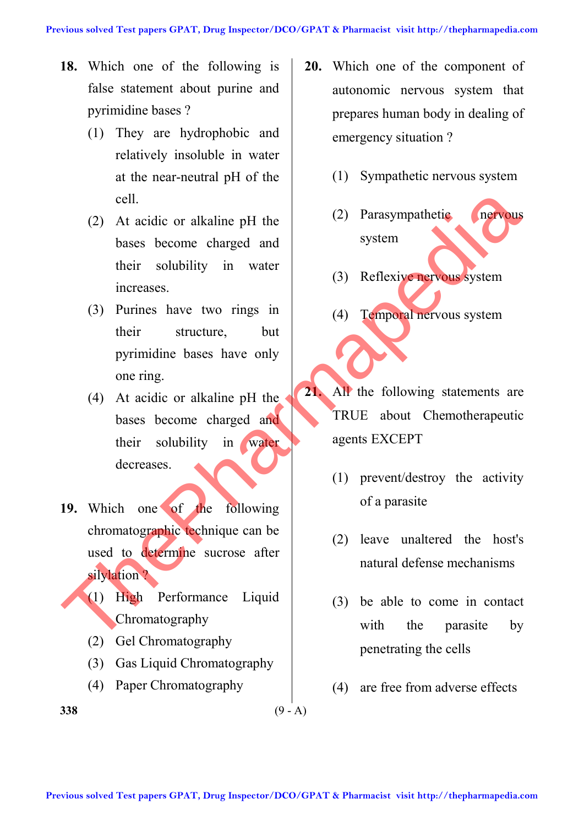- 18. Which one of the following is false statement about purine and pyrimidine bases ?
	- (1) They are hydrophobic and relatively insoluble in water at the near-neutral pH of the cell.
	- (2) At acidic or alkaline pH the bases become charged and their solubility in water increases.
	- (3) Purines have two rings in their structure, but pyrimidine bases have only one ring.
	- (4) At acidic or alkaline pH the bases become charged and their solubility in water decreases.
- 19. Which one of the following chromatographic technique can be used to determine sucrose after silylation? Previous solved Test papers GPAT, Drug Ingeres CPAT, Drug Ingeres CO/GPAT & Pharmacist visit http://thepharmapedia.com<br>
primition of the Gollowing is and properties human body in deting of<br>
primition bouse of the control p
	- (1) High Performance Liquid Chromatography
	- (2) Gel Chromatography
	- (3) Gas Liquid Chromatography
	- (4) Paper Chromatography

338 (9 - A)

- 20. Which one of the component of autonomic nervous system that prepares human body in dealing of emergency situation ?
	- (1) Sympathetic nervous system
	- (2) Parasympathetic nervous system
	- (3) Reflexive nervous system
	- (4) Temporal nervous system
- 21. All the following statements are TRUE about Chemotherapeutic agents EXCEPT
	- (1) prevent/destroy the activity of a parasite
	- (2) leave unaltered the host's natural defense mechanisms
	- (3) be able to come in contact with the parasite by penetrating the cells
	- (4) are free from adverse effects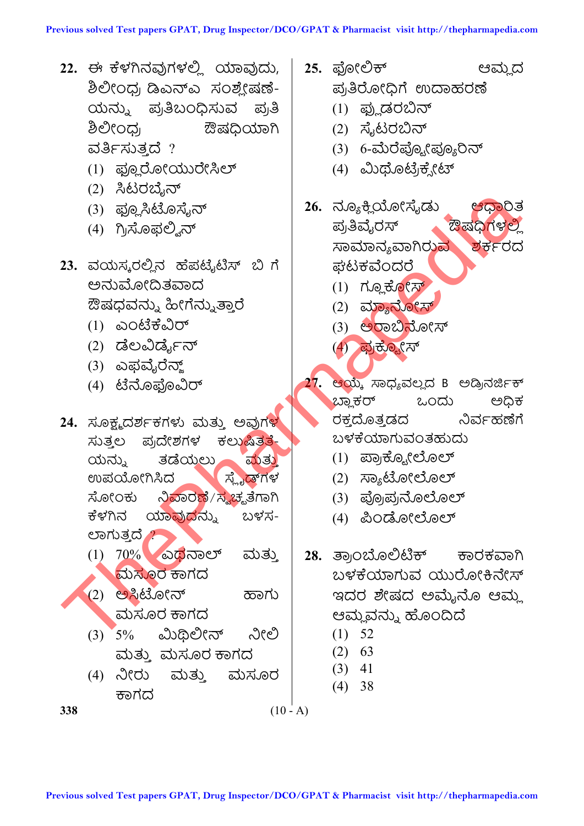- 22. ಈ ಕೆಳಗಿನವುಗಳಲ್ಲಿ ಯಾವುದು, ಶಿಲೀಂಧ್ರ ಡಿಎನ್ಎ ಸಂಶ್ಲೇಷಣೆ-ಯನ್ನು ಪ್ರತಿಬಂಧಿಸುವ ಪ್ರತಿ ಶಿಲೀಂಧ್ರ ಔಷಧಿಯಾಗಿ ವರ್ತಿಸುತ್ತದೆ ?
	- (1) ಫ್ಲೂರೋಯುರೇಸಿಲ್
	- $(2)$  ಸಿಟರಬೈನ್
	- (3) ಪ್ರೂಸಿಟೊಸೈನ್
	- (4) ಗ್ರಿಸೊಫಲ್ವಿನ್
- 23. ವಯಸ್ಕರಲ್ಲಿನ ಹೆಪಟ್ಟೆಟಿಸ್ ಬಿ ಗೆ ಅನುಮೋದಿತವಾದ ಔಷಧವನ್ನು ಹೀಗೆನ್ನುತ್ತಾರೆ
	- $(1)$  ಎಂಟೆಕೆವಿಗ್
	- $(2)$  ಡೆಲವಿರ್ಡೈನ್
	- (3) ಎಫ್ರವೈರೆನ್ಸ್
	- $(4)$  සිನೊಫೊವಿರ್
- 24. ಸೂಕ್ಷ್ಮದರ್ಶಕಗಳು ಮತ್ತು ಅವುಗಳ ಸುತಲ ಪ್ರದೇಶಗಳ ಕಲುಷಿತತೆ-ಯನ್ನು ತಡೆಯಲು ಮತ್ತು ಉಪಯೋಗಿಸಿದ ಸ್ಟೈಡ್ ಗಳ ಸೋಂಕು ನಿವಾರಣೆ/ಸೃಚ್ಯತೆಗಾಗಿ ಕೆಳಗಿನ ಯಾವುದನ್ನು ಬಳಸ-ಲಾಗುತ್ತದೆ ? Previous wheat Test paper GPAT, Drug Inspector/DCO/GPAT & Pharmacist visit https://thepharmapedia.com<br>
22. ಈ ಕೆಳಗಿನವುಗಳಲ್ಲಿ ಯಾವುದು, 25. ಫೋಲಿಕ್ ಅಮ್ಮದ<br>
23. ಫೋಲಿನ್ನ ಪ್ರತಿಬಂಧಿಸುವ ಪ್ರತಿ<br>
23. ಮೂರಸ್ನೆಂಬ್ಡ ಪ್ರತಿ ಪ್ರತಿಯೋಗಿ ಉದಾಹ
	- $(1)$   $70\%$  ಎದನಾಲ್ ಮತು ಿಮಸೂರ ಕಾಗದ
	- $(2)$  ಅಸಿಟೋನ್ ಹಾಗು ಮಸೂರ ಕಾಗದ
		- $(3)$  5% ಮಿಥಿಲೀನ್ ನೀಲಿ ಮತು ಮಸೂರ ಕಾಗದ
	- (4) ನೀರು ಮತು ಮಸೂರ ಕಾಗದ
	- 338 (10 A)
- 25. ಫೋಲಿಕ್ ಆಮ್ಲದ
	- ಪ್ರತಿರೋಧಿಗೆ ಉದಾಹರಣೆ (1) ಪ್ಲುಡರಬಿನ್
		- (2) ಸೈಟರಬಿನ್
		- (3) 6-ಮೆರೆಫ್ಯೋಫ್ಯೂರಿನ್
		- $(4)$  ಮಿದೊಟೈಕ್ಸೇಟ್
- 26. ನ್ಯೂಕ್ಲಿಯೋಸೈಡು ಆಧಾರಿತ ಪ್ರತಿವೈರಸ್ ಔಷಧಿಗಳಲ್ಲಿ ಸಾಮಾನ್ಯವಾಗಿರುವ ಶರ್ಕರದ ಪುಟಕವೆಂದರೆ  $(1)$  ಗ್ಲೂಕೋಸ್ (2) ඣೕ
	- $(3)$  ප $\sigma$ වෙඨ් බ $\sigma$ ಸ್

 $(4)$  ಪುಕ್ಕೋಸ್

- 27. ಆಯ್ಕೆ ಸಾಧ್ಯವಲ್ಲದ B ಅಡ್ರಿನರ್ಜಿಕ್ ಬ್ಲಾಕರ್ ಒಂದು ಅಧಿಕ ರಕ್ತದೊತ್ತಡದ ನಿರ್ವಹಣೆಗೆ ಬಳಕೆಯಾಗುವಂತಹುದು
	- (1) ಪ್ರಾಕ್ಟೋಲೋಲ್
	- $(2)$   $\overline{N}$  $\partial_{\delta}$ ಟೋಲೋಲ್
	- $(3)$   $\vec{\omega}$   $\vec{\omega}$   $\vec{\omega}$   $\vec{\omega}$   $\vec{\omega}$   $\vec{\omega}$   $\vec{\omega}$
	- $(4)$  ಪಿಂಡೋಲೋಲ್

28. ತಾಂಬೊಲಿಟಿಕ್ ಕಾರಕವಾಗಿ ಬಳಕೆಯಾಗುವ ಯುರೋಕಿನೇಸ್ ಇದರ ಶೇಷದ ಅಮೈನೊ ಆಮ್ನ ಆಮ್ಲವನ್ನು ಹೊಂದಿದೆ

- (1) 52
- (2) 63
- (3) 41
- (4) 38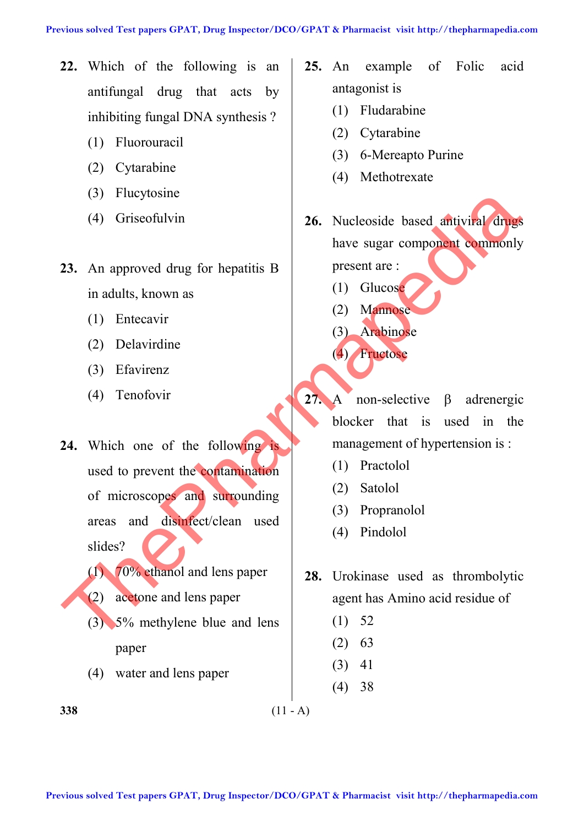- 22. Which of the following is an antifungal drug that acts by inhibiting fungal DNA synthesis ?
	- (1) Fluorouracil
	- (2) Cytarabine
	- (3) Flucytosine
	- (4) Griseofulvin
- 23. An approved drug for hepatitis B in adults, known as
	- (1) Entecavir
	- (2) Delavirdine
	- (3) Efavirenz
	- (4) Tenofovir
- 24. Which one of the following is used to prevent the contamination of microscopes and surrounding areas and disinfect/clean used slides? Previous solved Test papers GPAT, Drug Inspector/DCO/GPAT & Pharmacist visit https://thepharmapedia.com<br>
22. Which of the following is an  $\begin{bmatrix}\n\text{25. A n} & \text{example} & \text{of} & \text{Folic} & \text{acid}\n\text{antifungal} & \text{drug that acts by}\n\text{(1) Fluoronaxial}\n\text{(2) Cytarab$ 
	- (1) 70% ethanol and lens paper (2) acetone and lens paper
		- (3) 5% methylene blue and lens paper
		- (4) water and lens paper
	- $338$  (11 A)
- 25. An example of Folic acid antagonist is
	- (1) Fludarabine
	- (2) Cytarabine
	- (3) 6-Mereapto Purine
	- (4) Methotrexate
- 26. Nucleoside based antiviral drugs have sugar component commonly present are :
	- (1) Glucose
	- (2) Mannose
	- (3) Arabinose
	- (4) Fructose
- $27. A$  non-selective  $\beta$  adrenergic blocker that is used in the management of hypertension is :
	- (1) Practolol
	- (2) Satolol
	- (3) Propranolol
	- (4) Pindolol
- 28. Urokinase used as thrombolytic agent has Amino acid residue of
	- (1) 52
	- (2) 63
	- (3) 41
	- (4) 38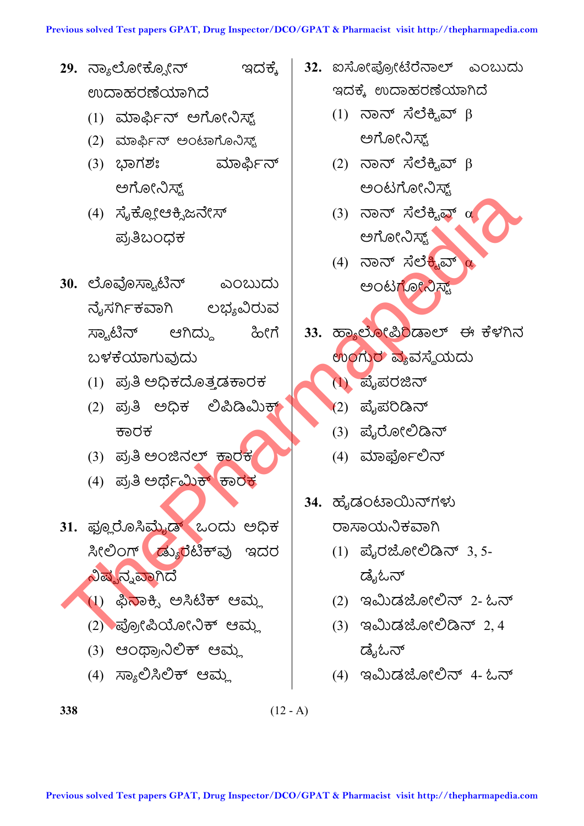- 29. ನ್ಯಾಲೋಕ್ಯೋನ್ ಇದಕ್ಕೆ ಉದಾಹರಣೆಯಾಗಿದೆ
	- $(1)$  ಮಾರ್ಪಿನ್ ಅಗೋನಿಸ್ಟ್
	- (2) ಮಾರ್ಫಿನ್ ಅಂಟಾಗೊನಿಸ್ಟ್
	- (3) ಭಾಗಶಃ ಮಾರ್ಫಿನ್ ಅಗೋನಿಸ್ಟ್
	- (4) ಸೈಕ್ಲೋಆಕ್ನಿಜನೇಸ್ ಪ್ರತಿಬಂಧಕ
- 30. ಲೊವೊಸ್ಟಾಟಿನ್ ಎಂಬುದು ನೈಸರ್ಗಿಕವಾಗಿ ಲಭ್ಯವಿರುವ ಸ್ಟಾಟಿನ್ ಆಗಿದ್ದು ಹೀಗೆ ಬಳಕೆಯಾಗುವುದು ThePharmapedia **Previous solved Test papers GPAT, Drug Inspector/DCO/GPAT & Pharmacist visit http://thepharmapedia.com**
	- (1) ಪುತಿ ಅಧಿಕದೊತ್ತಡಕಾರಕ
	- (2) ಪ $\beta$  ಅಧಿಕ ಲಿಪಿಡಿಮಿಕ್ ಕಾರಕ
	- (3) ಪ್ರತಿ ಅಂಜಿನಲ್ ಕಾರಕ
	- (4) ಪ್ರತಿ ಅರ್ಥಮಿಕ್ ಕಾರಕ
	- 31. ಫ್ಲೂರೊಸಿಮೈಡ್ ಒಂದು ಅಧಿಕ ಸೀಲಿಂಗ್ ಡ್ಯುರೆಟಿಕ್**ವು** ಇದರ ನಿಷ್ಠನ್ನವಾಗಿದೆ (1) ಫಿನಾಕ್ಸಿ ಅಸಿಟೆಕ್ ಆಮ್ಲ
		- (2) ಪ್ರೋಪಿಯೋನಿಕ್ ಆಮ್ಲ
		- (3) ಆಂಥ್ರಾನಿಲಿಕ್ ಆಮ್ಮ
		- (4) ಸ್ಯಾಲಿಸಿಲಿಕ್ ಆಮ
- 32. ಐಸೋಫ್ರೋಟೆರೆನಾಲ್ ಎಂಬುದು ಇದಕ್ಕೆ ಉದಾಹರಣೆಯಾಗಿದೆ
	- $(1)$  බාබි බ්ල්දී,ගේ  $\beta$ ಅಗೋನಿಸ್ಟ್
	- $(2)$  බවත්  $\vec{a}$ ඵ්දී, නේ  $\beta$ ಅಂಟಗೋನಿಸ್ಟ್
	- $(3)$  බවබ  $\vec{a}$  වී බවයි. ග ಅಗೋನಿಸ್ಟ್
	- (4) ನಾನ್ ಸೆಲೆಕ್ಟಿವ್ ಅಂಟಗೋನಿಸ್ಟ್
- 33. ಹ್ಯಾಲೋಪಿರಿಡಾಲ್ ಈ ಕೆಳಗಿನ ಉಂಗುರ ವ್ಯವಸ್ಥೆಯದು
	- (1) ಪೈಪರಜಿನ್
	- (2) ಪೈಪರಿಡಿನ್
	- (3) ಪೈರೋಲಿಡಿನ್
	- (4) ಮಾರ್ಫೊಲಿನ್
- 34. ಹೈಡಂಟಾಯಿನ್ಗಳು ರಾಸಾಯನಿಕವಾಗಿ
	- $(1)$  ಪೈರಜೋಲಿಡಿನ್ 3, 5-ಡೈಓನ್
	- (2) ಇಮಿಡಜೋಲಿನ್ 2-ಓನ್
	- $(3)$  ಇಮಿಡಜೋಲಿಡಿನ್ 2,4 ಡೈಓನ್
	- (4) ಇಮಿಡಜೋಲಿನ್ 4- ಓನ್

 $338$  (12 - A)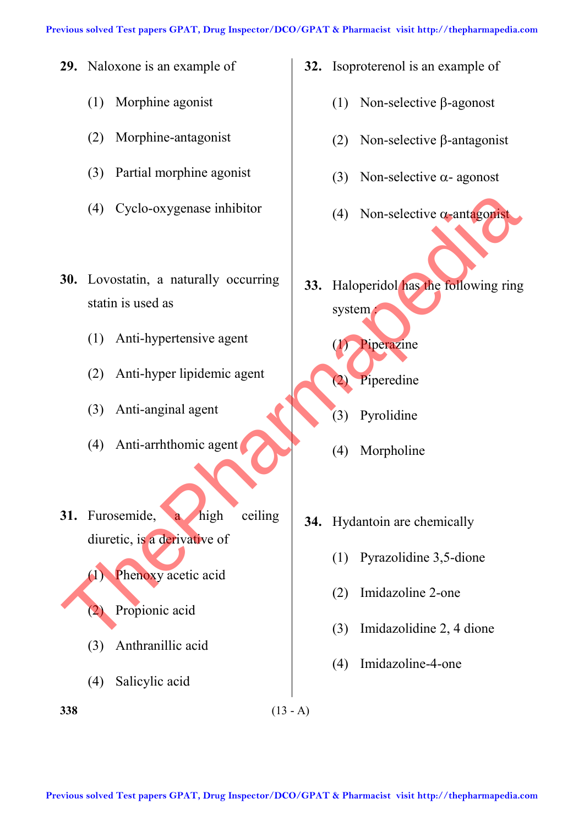- 29. Naloxone is an example of
	- (1) Morphine agonist
	- (2) Morphine-antagonist
	- (3) Partial morphine agonist
	- (4) Cyclo-oxygenase inhibitor
- 30. Lovostatin, a naturally occurring statin is used as
	- (1) Anti-hypertensive agent
	- (2) Anti-hyper lipidemic agent
	- (3) Anti-anginal agent
	- (4) Anti-arrhthomic agent
- 31. Furosemide, a high ceiling diuretic, is a derivative of (4) Cyclo-oxygenase inhibitor (4) Non-selective  $\alpha$ -antisgentis<br>
30. Lovostatin, a naturally occurring<br>
statin is used as<br>
(1) Anti-hypertensive agent<br>
(2) Anti-hyperthesive agent<br>
(3) Anti-arrhthomic agent<br>
(3) Pyrolidi
	- (1) Phenoxy acetic acid
	- (2) Propionic acid
	- (3) Anthranillic acid
	- (4) Salicylic acid
- $338$  (13 A)
- 32. Isoproterenol is an example of
	- $(1)$  Non-selective  $\beta$ -agonost
	- (2) Non-selective  $\beta$ -antagonist
	- (3) Non-selective  $\alpha$  agonost
	- (4) Non-selective  $\alpha$ -antagonist
- 33. Haloperidol has the following ring
	- (2) Piperedine

(1) Piperazine

system :

- (3) Pyrolidine
- (4) Morpholine
- 34. Hydantoin are chemically
	- (1) Pyrazolidine 3,5-dione
	- (2) Imidazoline 2-one
	- (3) Imidazolidine 2, 4 dione
	- (4) Imidazoline-4-one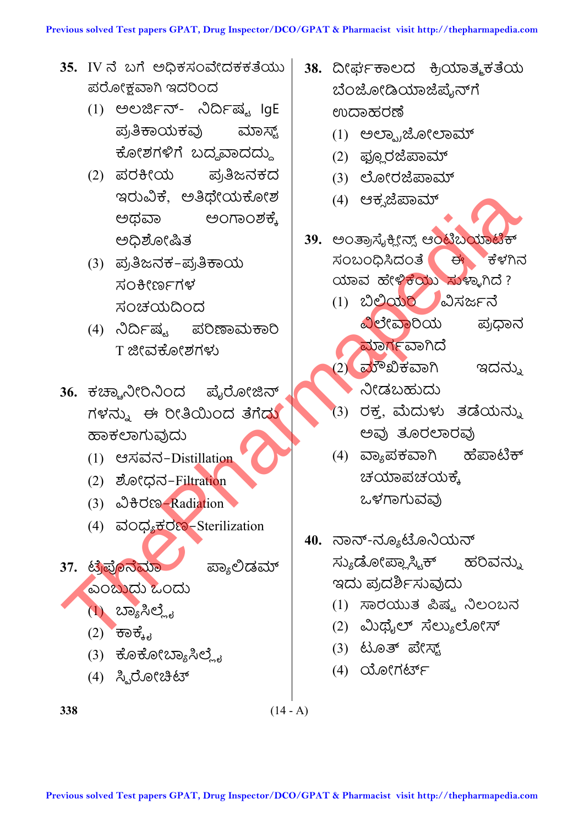- 35. IV ನೆ ಬಗೆ ಅಧಿಕಸಂವೇದಕಕತೆಯು ಪರೋಕ್ಷವಾಗಿ ಇದರಿಂದ
	- $(1)$  ಅಲರ್ಜಿನ್- ನಿರ್ದಿಷ್ಟ IgE ಪ್ರತಿಕಾಯಕವು ಮಾಸ್ಟ್ ಕೋಶಗಳಿಗೆ ಬದ್ಧವಾದದ್ದು
	- (2) ಪರಕೀಯ ಪ್ರತಿಜನಕದ ಇರುವಿಕೆ, ಅತಿಥೇಯಕೋಶ ಅಥವಾ ಅಂಗಾಂಶಕ್ಕೆ ಅඌ๗ೕತ
	- (3) ಪ್ರತಿಜನಕ-ಪ್ರತಿಕಾಯ ಸಂಕೀರ್ಣಗಳ ಚಯൽಂದ
	- (4) ನಿರ್ದಿಷ್ಟ ಪರಿಣಾಮಕಾರಿ T ಜೀವಕೋಶಗಳು
- 36. ಕಚ್ಚಾನೀರಿನಿಂದ ಪೈರೋಜಿನ್ ಗಳನ್ನು ಈ ರೀತಿಯಿಂದ ತೆಗೆದು ಹಾಕಲಾಗುವುದು
	- (1) ಆಸವನ-Distillation
	- (2) ๗ೕಧನ-Filtration
	- $(3)$   $\partial \theta \partial \partial \Omega -$ Radiation
	- (4) ವಂಧ್ಯಕರಣ-Sterilization
- 37. ಟಿಪೂನಮಾ ಪ್ಯಾಲಿಡಮ್ ಎಂಬುದು ಒಂದು  $(1)$   $\omega_{\rm s}$ ಸಿಲ್ಲೈ  $(2)$   $\vec{\sigma}$ වෙ $\vec{\sigma}_{\text{tot}}$ Previous solved Test paper GPAT, Drug Inspector/DCO/GPAT & Pharmacist visit https://thepharmapedia.com<br>
and contact and contact and contact and contact and contact and contact and the state and contact and contact and con
	- $(3)$  ಕೊಕೋಬ್ಯಾಸಿಲ್ಲೈ
	- $(4)$  ಸ್ಪಿರೋಚಿಟ್
- 38. ದೀರ್ಪಕಾಲದ ಕಿಯಾತ್ಮಕತೆಯ ಬೆಂಜೋಡಿಯಾಜಿಪೈನ್ಗ ಉದಾಹರಣೆ
	- (1) ಅಲ್ಪಾಜೋಲಾಮ್
	- (2) ಪ್ರೂರಜೆಪಾಮ್
	- $(3)$   $\epsilon$ ನೋರಜಿಪಾಮ್
	- (4) ಆಕ್ಸಜೆಪಾಮ್
- 39. ಅಂತ್ರಾಸೈಕ್ಲೀನ್ಸ್ ಆಂಟಿಬಯಾಟಿಕ್ ಸಂಬಂಧಿಸಿದಂತೆ ಈ ಕೆಳಗಿನ ಯಾವ ಹೇಳಿಕೆಯು ಸುಳ್ಳಾಗಿದೆ ?
	- (1) ಬಿಲಿಯರಿ ವಿಸರ್ಜನೆ <mark>ವಿ</mark>ಲೇವಾರಿಯ ಪ್ರಧಾನ ಮಾರ್ಗವಾಗಿದೆ
	- (2) ಮೌಖಿಕವಾಗಿ ಇದನು. ನೀಡಬಹುದು
		- (3) ರಕ್ತ, ಮೆದುಳು ತಡೆಯನ್ನು ಅವು ತೂರಲಾರವು
	- (4) ವ್ಯಾಪಕವಾಗಿ ಹೆಪಾಟಿಕ್ ಚಯಕೆ, ಒಳಗಾಗುವವು
- 40. ನಾನ್-ನ್ಯೂಟೊನಿಯನ್ ಸ್ಯುಡೋಪ್ಲಾಸ್ಮಿಕ್ ಹರಿವನ್ನು ಇದು ಪ್ರದರ್ಶಿಸುವುದು
	- (1) ಸಾರಯುತ ಪಿಷ್ಯ ನಿಲಂಬನ
	- $(2)$  ಮಿಥೈಲ್ ಸೆಲ್ಯುಲೋಸ್
	- $(3)$  හිමෙන් බ්දිතු
	- $(4)$   $\omega$  $\omega$  $\text{RSE}$

 $338$  (14 - A)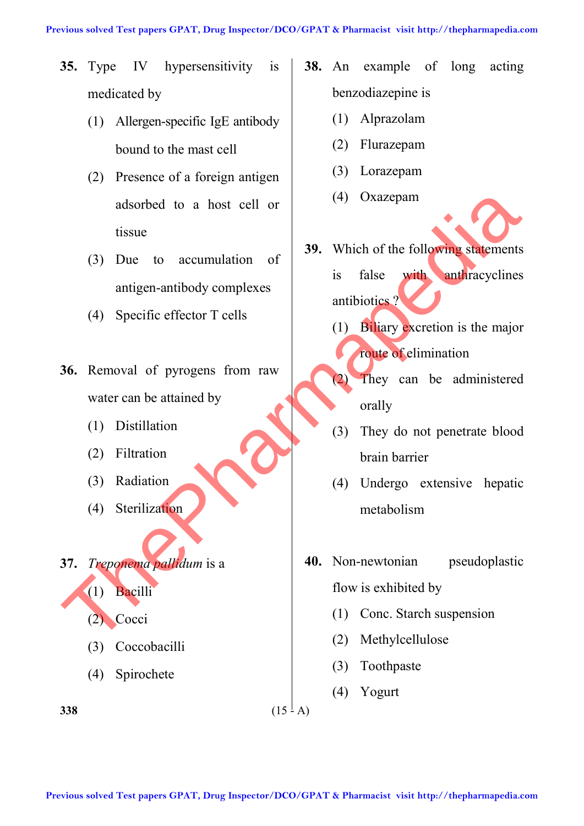- 35. Type IV hypersensitivity is medicated by
	- (1) Allergen-specific IgE antibody bound to the mast cell
	- (2) Presence of a foreign antigen adsorbed to a host cell or tissue
	- (3) Due to accumulation of antigen-antibody complexes
	- (4) Specific effector T cells
- 36. Removal of pyrogens from raw water can be attained by
	- (1) Distillation
	- (2) Filtration
	- (3) Radiation
	- (4) Sterilization
- 37. Treponema pallidum is a (1) Bacilli (2) Cocci
	- (3) Coccobacilli
	- (4) Spirochete
- 338 (15  $\perp$  A)
- 38. An example of long acting benzodiazepine is
	- (1) Alprazolam
	- (2) Flurazepam
	- (3) Lorazepam
	- (4) Oxazepam
- 39. Which of the following statements is false with anthracyclines antibiotics ? Previous solved Test papers GPAT, Drug Inspector/DCO/GPAT & Pharmacist visit https://thepharmapedia.com<br>
The The Hypersensitivity is a SB. An example of long arcting<br>
(1) Allergen-specific IgE antibody<br>
bound to the mast c
	- (1) Biliary excretion is the major route of elimination
	- (2) They can be administered orally
	- (3) They do not penetrate blood brain barrier
	- (4) Undergo extensive hepatic metabolism
	- 40. Non-newtonian pseudoplastic flow is exhibited by
		- (1) Conc. Starch suspension
		- (2) Methylcellulose
		- (3) Toothpaste
		- (4) Yogurt

**Previous solved Test papers GPAT, Drug Inspector/DCO/GPAT & Pharmacist visit http://thepharmapedia.com**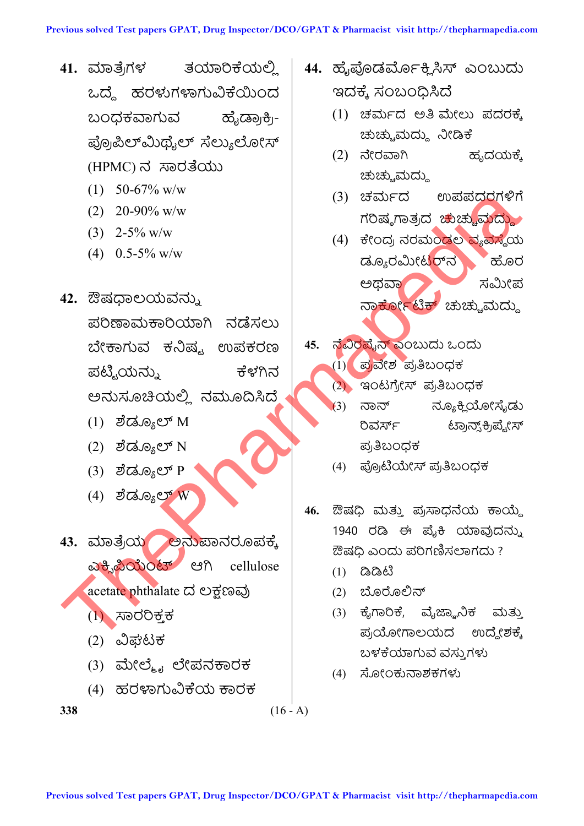- 41. ಮಾತೆಗಳ ತಯಾರಿಕೆಯಲಿ ಒದ್ದೆ ಹರಳುಗಳಾಗುವಿಕೆಯಿಂದ ಬಂದಕವಾಗುವ ಹೈಡಾರ್ಕಿ ಫ್ರೋಪಿಲ್ಮುದೈಲ್ ಸೆಲ್ಯುಲೋಸ್ (HPMC) ನ ಸಾರತೆಯು  $(1)$  50-67% w/w Previous solved Test paper GPAT, Drug Inspector/DCO/GPAT & Pharmacist visit https://thepharmapedia.com<br>
2.0. 2019/11/19015-07/2020120 2012/2020120 2012/2020120 2012/2020120 2012/2020120 2012/2020120 2012/2020120 2012/2020
	-
	- $(2)$  20-90% w/w
	- $(3)$  2-5% w/w
	- $(4)$  0.5-5% w/w
	- 42. ಔಷಧಾಲಯವನ್ನು

ಪರಿಣಾಮಕಾರಿಯಾಗಿ ನಡೆಸಲು ಬೇಕಾಗುವ ಕನಿಷ್ಯ ಉಪಕರಣ ಪಟ್ಟಿಯನ್ನು ಕೆಳಗಿನ

ಅನುಸೂಚಿಯಲ್ಲಿ ನಮೂದಿಸಿದೆ

- $(1)$  ඒ ශ් $\mathcal{O}_s$ ල් M
- $(2)$  ಶೆಡ್ಯೂಲ್ N
- $(3)$  ಶೆಡ್ಯೂಲ್ P
- $(4)$  ಶೆಡ್ಮೋಲ್ $W$

43. ಮಾತ್ರೆಯ ಅನುಪಾನರೂಪಕ್ಕೆ ವಕ್ಕಿಪಿಯೆಂಟ್ ಆಗಿ cellulose acetate phthalate ದ ಲಕ್ಷಣವು

- $(1)$   $\bar{a}$  ਹ $\bar{b}$  ਰਹ $\bar{c}$   $\bar{c}$
- (2) เಘಟಕ
- (3) ಮೇಲ್ಮೈ ಲೇಪನಕಾರಕ
- (4) ಹರಳಾಗುವಿಕೆಯ ಕಾರಕ

 $338$  (16 - A)

- 44. ಹೈಪೊಡರ್ಮೊಕ್ಲಿಸಿಸ್ ಎಂಬುದು ಇದಕ್ಕೆ ಸಂಬಂಧಿಸಿದೆ
	- $(1)$  ಚರ್ಮದ ಅತಿ ಮೇಲು ಪದರಕ್ಕೆ ಚುಚ್ಚುಮದ್ದು ನೀಡಿಕೆ
	- (2) ನೇರವಾಗಿ ಹೃದಯಕ್ಕೆ ಚುಚ್ಚುಮದ್ದು
	- (3) ಚರ್ಮದ ಉಪಪದರಗಳಿಗೆ ಗರಿಷ್ಠಗಾತ್ರದ ಚುಚ್ಚುಮದ್ದು
	- (4) ಕೇಂದ್ರ ನರಮಂಡಲ ವ್ಯವಸ್ಥೆಯ ಡ್ಯೂರಮೀಟರ್ನ ಹೊರ ಅಥವಾ ಸಮೀಪ ನಾರ್ಕೋಟಿಕ್ ಚುಚ್ಚುಮದ್ದು
- 45. ನವಿರಷ್ಟನ್ ಎಂಬುದು ಒಂದು  $(1)$  ಪುವೇಶ ಪ್ರತಿಬಂಧಕ
	- (2) ಇಂಟಗ್ರೇಸ್ ಪ್ರತಿಬಂಧಕ
	- (3) ನಾನ್ ನ್ಯೂಕ್ಲಿಯೋಸೈಡು ರಿವರ್ಸ್ ಟ್ರಾನ್ಸ್<sub>ರಿ</sub>ಪ್ಟೇಸ್ ಪ್ರತಿಬಂದಕ
	- (4) ಪ್ರೊಟಿಯೇಸ್ ಪ್ರತಿಬಂಧಕ
- 46. ಔಷಧಿ ಮತ್ತು ಪ್ರಸಾಧನೆಯ ಕಾಯ್ದೆ 1940 ರಡಿ ಈ ಪೈ<del>ಕಿ</del> ಯಾವುದನ್ನು ಔಷಧಿ ಎಂದು ಪರಿಗಣಿಸಲಾಗದು ?
	- (1) ലലഔ
	- $(2)$  ಬೊರೊಲಿನ್
	- (3) ಕೈಗಾರಿಕೆ, ವೈಜ್ಞಾನಿಕ ಮತ್ತು ಪ್ರಯೋಗಾಲಯದ ಉದ್ದೇಶಕ್ಕೆ ಬಳಕೆಯಾಗುವ ವಸ್ತುಗಳು
	- (4) ಸೋಂಕುನಾಶಕಗಳು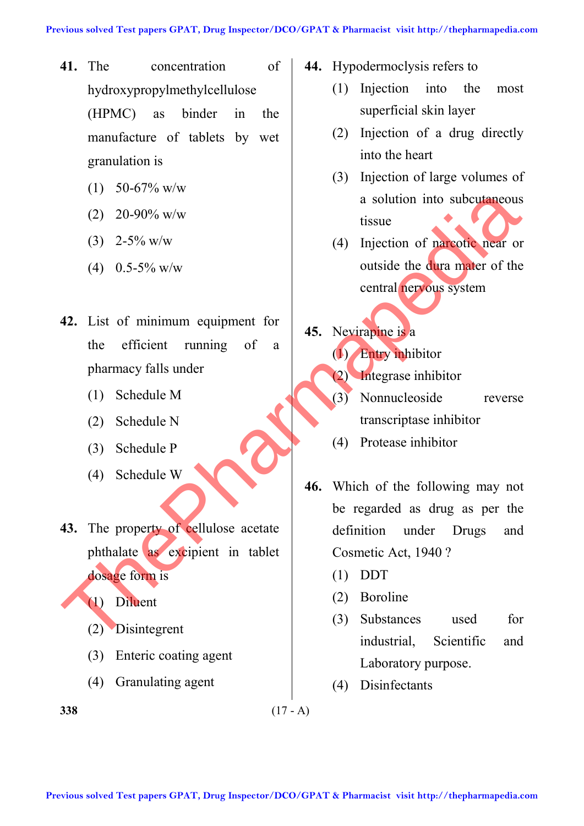- 41. The concentration of hydroxypropylmethylcellulose (HPMC) as binder in the manufacture of tablets by wet granulation is Previous solved Test papers GPAT, Drug Inspector/DCO/GPAT & Pharmacist visit http://thepharmapedia.com<br>
14. The concentration of all the concentration (1) Injection into the most<br>
(HDMC) as binder in the superficiel skin l
	- $(1)$  50-67% w/w
	- $(2)$  20-90% w/w
	- $(3)$  2-5% w/w
	- $(4)$  0.5-5% w/w
	- 42. List of minimum equipment for the efficient running of a pharmacy falls under
		- (1) Schedule M
		- (2) Schedule N
		- (3) Schedule P
		- (4) Schedule W
	- 43. The property of cellulose acetate phthalate as excipient in tablet dosage form is
		- (1) Diluent
		- (2) Disintegrent
		- (3) Enteric coating agent
		- (4) Granulating agent

338 (17 - A)

- 44. Hypodermoclysis refers to
	- (1) Injection into the most superficial skin layer
	- (2) Injection of a drug directly into the heart
	- (3) Injection of large volumes of a solution into subcutaneous tissue
	- (4) Injection of narcotic near or outside the dura mater of the central nervous system
- 45. Nevirapine is a (1) Entry inhibitor
	-
	- (2) Integrase inhibitor
	- (3) Nonnucleoside reverse transcriptase inhibitor
		- (4) Protease inhibitor
- 46. Which of the following may not be regarded as drug as per the definition under Drugs and Cosmetic Act, 1940 ?
	- (1) DDT
	- (2) Boroline
	- (3) Substances used for industrial, Scientific and Laboratory purpose.
	- (4) Disinfectants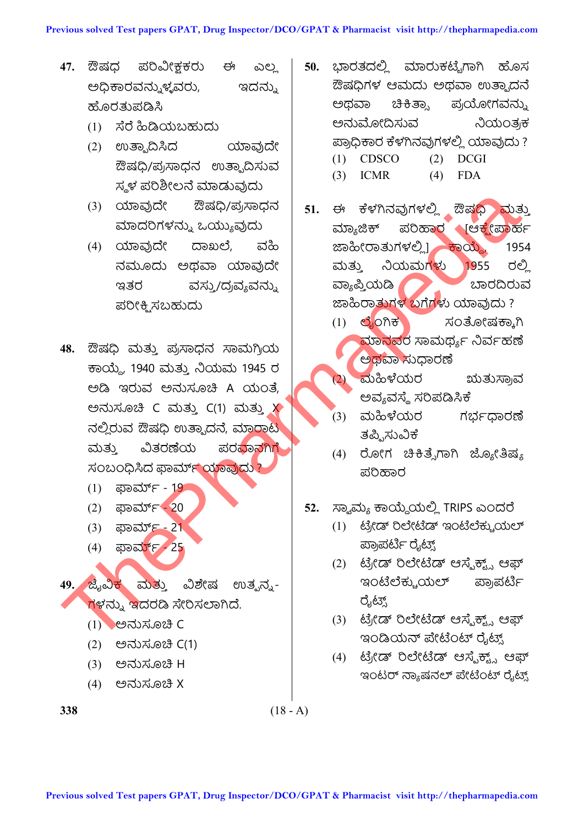- 47. ಔಷಧ ಪರಿವೀಕ್ಷಕರು ಈ ಎಲ್ಲ ಅಧಿಕಾರವನ್ನುಳ್ಳವರು, ಇದನ್ನು ಹೊರತುಪಡಿಸಿ
	- (1) ಸೆರೆ ಹಿಡಿಯಬಹುದು
	- (2) ಉತ್ಪಾದಿಸಿದ ಯಾವುದೇ ಔಷದಿ/ಪ್ರಸಾದನ ಉತ್ಪಾದಿಸುವ ಸ್ಥಳ ಪರಿಶೀಲನೆ ಮಾಡುವುದು
	- (3) ಯಾವುದೇ ಔಷಧಿ/ಪ್ರಸಾಧನ ಮಾದರಿಗಳನ್ನು ಒಯ್ಯುವುದು
	- (4) ಯಾವುದೇ ದಾಖಲೆ, ವಹಿ ನಮೂದು ಅಥವಾ ಯಾವುದೇ ಇತರ ವಸು /ದ್ರವ್ಯವನ್ನು ಪರೀ<del>ಕಿ</del> ಸಬಹುದು
- 48. ಔಷಧಿ ಮತ್ತು ಪುಸಾಧನ ಸಾಮಗ್ರಿಯ ಕಾಯ್ದೆ, 1940 ಮತ್ತು ನಿಯಮ 1945 ರ ಅಡಿ ಇರುವ ಅನುಸೂಚಿ A ಯಂತೆ, ಅನುಸೂಚಿ C ಮತ್ತು C(1) ಮತ್ತು X ನಲ್ಲಿರುವ ಔಷಧಿ ಉತ್ಪಾದನೆ, ಮಾರಾಟ ಮತು ವಿತರಣೆಯ ಪರ<mark>ವಾನಗಿ</mark>ಗೆ ಸಂಬಂಧಿಸಿದ ಫಾಮ್<mark>ಮ ಯಾವುದು ?</mark> ThePharmapedia **Previous solved Test papers GPAT, Drug Inspector/DCO/GPAT & Pharmacist visit http://thepharmapedia.com**
	- (1) <u>ಪಾರ್</u>ಮ್ 19
	- $(2)$  ಫಾರ್ಮ್ 20
	- $(3)$  apendone 21
	- $(4)$  ಫಾರ್ಮ್ 25

49. ಜೈವಿಕ ಮತ್ತು ವಿಶೇಷ ಉತ್ಪನ್ನ-ಗಳನ್ನು ಇದರಡಿ ಸೇರಿಸಲಾಗಿದೆ.  $(1)$  **C** CON C

- $(2)$  ಅನುಸೂಚಿ C(1)
- $(3)$  ಅನುಸೂಚಿ H
- $(4)$  ಅನುಸೂಚಿ X

- 50. ಭಾರತದಲಿ ಮಾರುಕಟ್ಟೆಗಾಗಿ ಹೊಸ ಔಷಧಿಗಳ ಆಮದು ಅಥವಾ ಉತ್ಪಾದನೆ ಅಥವಾ ಚಿಕಿತ್ತಾ ಪ್ರಯೋಗವನ್ನು ಅನುಮೋದಿಸುವ ನಿಯಂತ್ರಕ ಪ್ರಾಧಿಕಾರ ಕೆಳಗಿನವುಗಳಲ್ಲಿ ಯಾವುದು ? (1) CDSCO (2) DCGI (3) ICMR (4) FDA
- 51. ಈ ಕೆಳಗಿನವುಗಳಲ್ಲಿ ಔಷಧಿ ಮತ್ತು ಮ್ಯಾಜಿಕ್ ಪರಿಹಾರ (ಆಕ್ಸೇಪಾರ್ಹ ಜಾಹೀರಾತುಗಳಲ್ಲಿ $1 - \frac{1}{100}$  , 1954 ಮತ್ತು ನಿಯಮಗಳು 1955 ರಲ್ಲಿ ವ್ಯಾಪ್ತಿಯಡಿ (೧೯೯೯ ಬಾರದಿರುವ <u>ಜಾಹಿರಾತುಗಳ ಬಗೆಗಳು ಯಾವುದು ?</u>
	- $(1)$  ಲೈಂಗಿಕ ಸಂತೋಷಕ್ಕಾಗಿ <mark>ಮಾನ</mark>ವರ ಸಾಮರ್ಥ್ಯ ನಿರ್ವಹಣೆ ಅಥವಾ ಸುದಾರಣೆ
		- (2) ಮಹಿಳೆಯರ ಋತುಸ್ರಾವ ಅವ್ಯವಸ್ಥೆ ಸರಿಪಡಿಸಿಕೆ
		- (3) ಮಹಿಳೆಯರ ಗರ್ಭದಾರಣೆ ತಪ್ಪಿಸುವಿಕೆ
		- (4) ರೋಗ ಚಿಕಿತ್ಸೆಗಾಗಿ ಜ್ಯೋತಿಷ್ಯ ಪರಿಹಾರ
- 52. ಸ್ಯಾಮ್ಯ ಕಾಯ್ದೆಯಲ್ಲಿ TRIPS ಎಂದರೆ
	- $(1)$  ಟ್ರೇಡ್ ರಿಲೇಟೆಡ್ ಇಂಟೆಲೆಕ್ಕುಯಲ್ ಪ್ರಾಪರ್ಟಿ ರೈಟ್ಸ್
	- (2) ಟ್ರೇಡ್ ರಿಲೇಟೆಡ್ ಆಸ್ಪ್ರೆಕ್ಟ್ನ್ ಆಫ್ ಇಂಟೆಲೆಕ್ಕು.ಯಲ್ ಪ್ರಾಪರ್ಟಿ ರೈಟ್ಸ್
	- (3) ಟೈ೧ಡ್ ರಿಲೇಟೆಡ್ ಆಸ್ಪೆಕ್ಟ್ಸ್ ಆಫ್ ಇಂಡಿಯನ್ ಪೇಟೆಂಟ್ ರೈಟ್ಸ್
	- (4) ಟ್ರೇಡ್ ರಿಲೇಟೆಡ್ ಆಸ್ಪೆಕ್ಟ್ನ್ ಆಫ್ ಇಂಟರ್ ನ್ಯಾಷನಲ್ ಪೇಟೆಂಟ್ ರೈಟ್ಸ್

 $338$  (18 - A)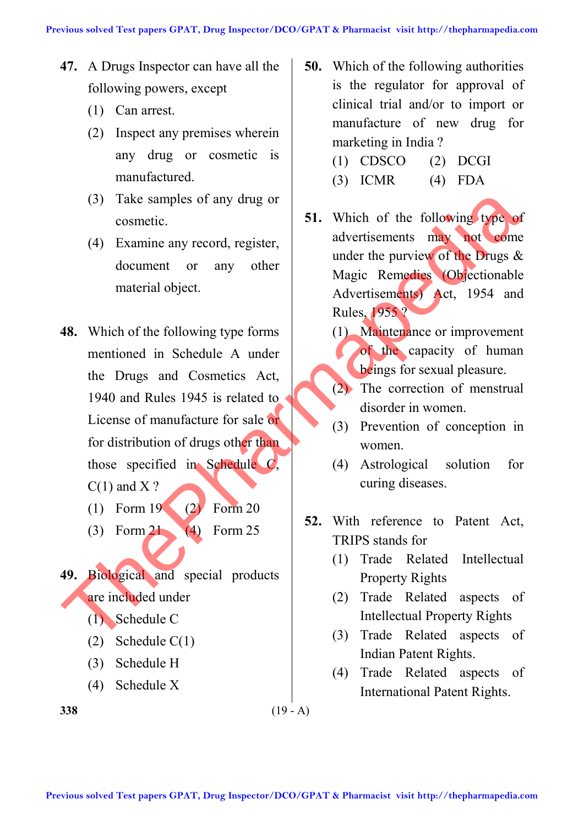- 47. A Drugs Inspector can have all the following powers, except
	- (1) Can arrest.
	- (2) Inspect any premises wherein any drug or cosmetic is manufactured.
	- (3) Take samples of any drug or cosmetic.
	- (4) Examine any record, register, document or any other material object.
- 48. Which of the following type forms mentioned in Schedule A under the Drugs and Cosmetics Act, 1940 and Rules 1945 is related to License of manufacture for sale or for distribution of drugs other than those specified in Schedule C,  $C(1)$  and X? Previous solved Test papers GPAT, Drug Ingestrate CO/GPAT & Pharmacist visit https://thepharmapedia.com<br>
147. A Drugs Inspector can have all the<br>
following powers, except<br>
(1) Cun arrest,<br>
(2) Inspect any pensies wherein<br>
	- (1) Form 19 (2) Form 20
	- (3) Form 21 (4) Form 25
	- 49. Biological and special products are included under
		- (1) Schedule C
		- (2) Schedule C(1)
		- (3) Schedule H
		- (4) Schedule X

- 50. Which of the following authorities is the regulator for approval of clinical trial and/or to import or manufacture of new drug for marketing in India ?
	- (1) CDSCO (2) DCGI (3) ICMR (4) FDA
- 51. Which of the following type of advertisements may not come under the purview of the Drugs & Magic Remedies (Objectionable Advertisements) Act, 1954 and Rules, 1955 ?
	- (1) Maintenance or improvement of the capacity of human beings for sexual pleasure.
	- (2) The correction of menstrual disorder in women.
	- (3) Prevention of conception in women.
	- (4) Astrological solution for curing diseases.
- 52. With reference to Patent Act, TRIPS stands for
	- (1) Trade Related Intellectual Property Rights
	- (2) Trade Related aspects of Intellectual Property Rights
	- (3) Trade Related aspects of Indian Patent Rights.
	- (4) Trade Related aspects of International Patent Rights.

338 (19 - A)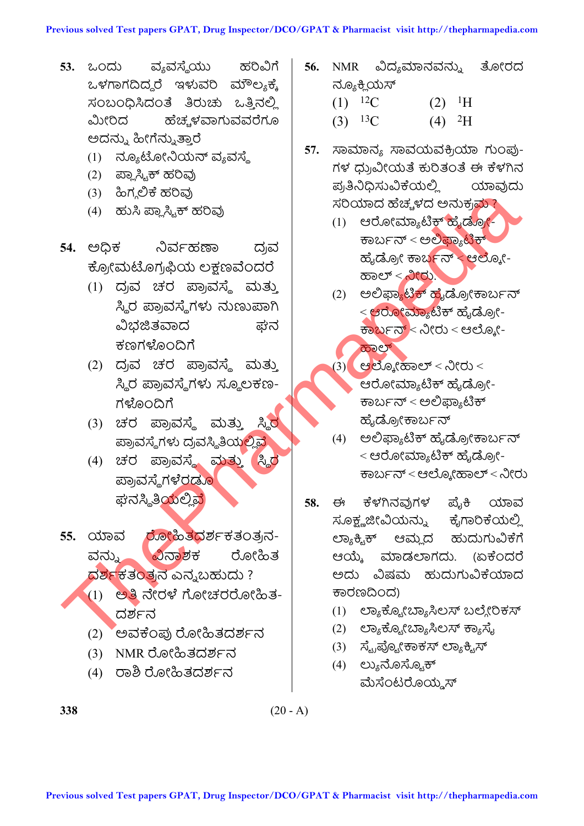- 53. ಒಂದು ವ್ಯವಸ್ಥೆಯು ಹರಿವಿಗೆ ಒಳಗಾಗದಿದ್ದರೆ ಇಳುವರಿ ಮೌಲ್ಯಕ್ಕೆ ಸಂಬಂಧಿಸಿದಂತೆ ತಿರುಚು ಒತ್ತಿನಲ್ಲಿ ಮೀರಿದ ಹೆಚ್ಚಳವಾಗುವವರೆಗೂ ಅದನ್ನು ಹೀಗೆನ್ನುತ್ತಾರೆ
	- (1) ನ್ಯೂಟೋನಿಯನ್ ವ್ಯವಸ್ಥೆ
	- $(2)$  ಪ್ಲಾಸ್ಟಿಕ್ ಹರಿವು
	- (3) ಹಿಗ್ಮಲಿಕೆ ಹರಿವು
	- (4) ಹುಸಿ <u>ಪ್ರಾಸ್ಟಿಕ್</u> ಹರಿವು
- 54. ಅಧಿಕ ನಿರ್ವಹಣಾ ದ್ರವ ಕ್ರೋಮಟೊಗ್ರಫಿಯ ಲಕ್ಷಣವೆಂದರೆ
	- (1) ದ್ರವ ಚರ ಪ್ರಾವಸ್ಥೆ ಮತ್ತು ಸ್ಮಿರ ಪ್ರಾವಸ್ಥೆಗಳು ನುಣುಪಾಗಿ ವಿಭಜಿತವಾದ ಘನ ಕಣಗಳೊಂದಿಗೆ
	- $(2)$  ದ $|$ ವ ಚರ ಪ್ರಾವಸ್ಥೆ ಮತ್ತು ಸ್ಮಿರ ಪ್ರಾವಸ್ಥೆಗಳು ಸ್ಥೂಲಕಣ-ಗಳೊಂದಿಗೆ
	- (3) ಚರ ಪ್ರಾವಸ್ಥೆ ಮತ್ತು ಸ್ಥಿ<mark>ರ</mark> ಪ್ರಾವಸ್ಥೆಗಳು ದ್ರವಸ್ಥಿತಿಯ<mark>ಲ್ಲಿವ</mark>
	- (4) ಚರ ಪ್ರಾವಸ್ಥೆ ಮತ್ತು ಸ್ಮಿರ <u>ಪಾವಸ್ಥೆಗಳೆರಡೂ</u> <u>ಘನಸ್ಥಿತಿಯಲ್ಲಿವೆ</u>
- 55. ಯಾವ ರೋಹಿತದರ್ಶಕತಂತ್ರನ-ವನ್ನು ವಿನಾಶಕ ರೋಹಿತ <mark>ದರ್ಶ</mark>ಕತಂತ್ರನ ಎನ್ನಬಹುದು ?
	- $(1)$  පෙමු ನೇರಳೆ ಗೋಚರರೋಹಿತ-ದರ್ಶನ
	- (2) ಅವಕೆಂಪು ರೋಹಿತದರ್ಶನ
	- $(3)$  NMR ರೋಹಿತದರ್ಶನ
	- (4) ರಾಶಿ ರೋಹಿತದರ್ಶನ

56. NMR ವಿದ್ಯಮಾನವನ್ನು ತೋರದ ನ್ಯೂಕ್ತಿಯಸ್

> $(1)$  <sup>12</sup>C (2) <sup>1</sup>H  $(3)$  <sup>13</sup>C (4) <sup>2</sup>H

- 57. ಸಾಮಾನ್ಯ ಸಾವಯವಕ್ರಿಯಾ ಗುಂಪು-ಗಳ ಧ್ರುವೀಯತೆ ಕುರಿತಂತೆ ಈ ಕೆಳಗಿನ ಪ್ರತಿನಿಧಿಸುವಿಕೆಯಲ್ಲಿ ಯಾವುದು ಸರಿಯಾದ ಹೆಚ್ಚಳದ ಅನುಕ್ರ<mark>ಮ ?</mark>
	- $(1)$  ಆರೋಮ್ಯಾಟಿಕ್ ಹೈಡ್ರೋ-ಕಾರ್ಬನ್ < ಅಲಿ<mark>ಫ್ಯಾಟಿಕ್</mark> ಹೈಡ್ರೋ ಕಾರ್ಬನ್ < ಆಲ್ಕೋ-ಹಾಲ್<ನೀರು.
	- (2) ಅಲಿಫ್ಯಾಟಿಕ್ ಹೈಡ್ರೋಕಾರ್ಬನ್ < ಆರೋಮ್ಯಾಟೆಕ್ ಹೈಡ್ರೋ-ಕಾರ್ಬನ್ < ನೀರು < ಆಲ್ಕೋ-ಹಾಲ್
	- $(3)$   $e^{t}$ ಲೋಹಾಲ್ < ನೀರು < ಆರೋಮ್ಯಾಟಿಕ್ ಹೈಡ್ರೋ-ಕಾರ್ಬನ್ < ಅಲಿಫ್ಯಾಟಿಕ್ ಹೈಡ್ರೋಕಾರ್ಬನ್
	- (4) ಅಲಿಫ್ಯಾಟಿಕ್ ಹೈಡ್ರೋಕಾರ್ಬನ್ < ಆರೋಮ್ಯಾಟಿಕ್ ಹೈಡ್ರೋ-ಕಾರ್ಬನ್<ಆಲ್ಕೋಹಾಲ್<ನೀರು
- 58. ಈ ಕೆಳಗಿನವುಗಳ ಪೈಕಿ ಯಾವ ಸೂಕ್ಲಜೀವಿಯನ್ನು ಕೈಗಾರಿಕೆಯಲ್ಲಿ ಲ್ಯಾಕ್ಟಿಕ್ ಆಮ್ಲದ ಹುದುಗುವಿಕೆಗೆ ಆಯ್ಕೆ ಮಾಡಲಾಗದು. (ಏಕೆಂದರೆ ಅದು ವಿಷಮ ಹುದುಗುವಿಕೆಯಾದ ౽ರಣൽಂದ) ThePharmapedia **Previous solved Test papers GPAT, Drug Inspector/DCO/GPAT & Pharmacist visit http://thepharmapedia.com**
	- (1) ಲ್ಯಾಕ್ಯೋಬ್ಯಾಸಿಲಸ್ ಬಲ್ಗೇರಿಕಸ್
	- $(2)$  ಲ್ಯಾಕ್ಸೋಬ್ಯಾಸಿಲಸ್ ಕ್ಯಾಸೈ
	- $(3)$  ನೈಪ್ರೋ $\overline{\mathfrak{so}}$ ನೆಸ್ ಲ್ಯಾಕ್ಟಿಸ್
	- (4) ಲ್ಯುನೊಸ್ಮ<del>ೊ</del> ಮೆಸೆಂಟರೊಯ್ಯಸ್

338 (20 - A)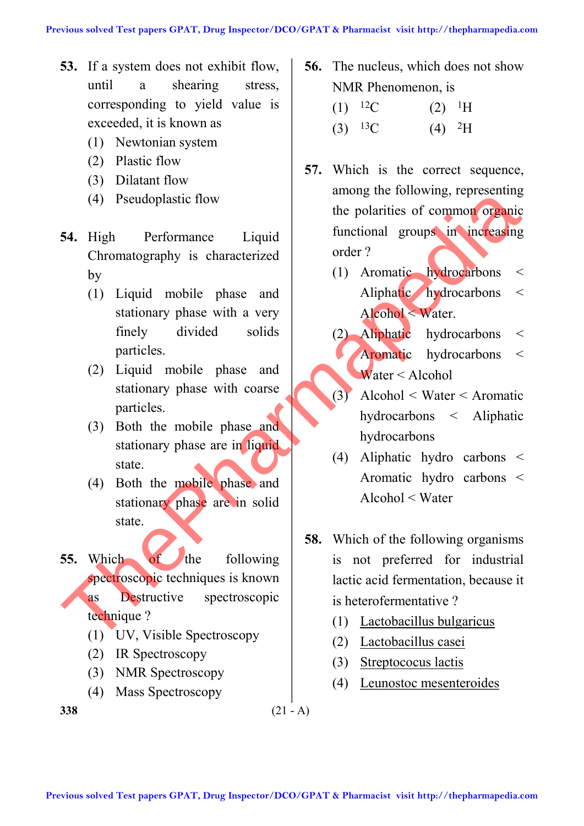- 53. If a system does not exhibit flow, until a shearing stress, corresponding to yield value is exceeded, it is known as
	- (1) Newtonian system
	- (2) Plastic flow
	- (3) Dilatant flow
	- (4) Pseudoplastic flow
- 54. High Performance Liquid Chromatography is characterized by
	- (1) Liquid mobile phase and stationary phase with a very finely divided solids particles.
	- (2) Liquid mobile phase and stationary phase with coarse particles.
	- (3) Both the mobile phase and stationary phase are in liquid state.
	- (4) Both the mobile phase and stationary phase are in solid state.
- 55. Which of the following spectroscopic techniques is known as Destructive spectroscopic technique ?
	- (1) UV, Visible Spectroscopy
	- (2) IR Spectroscopy
	- (3) NMR Spectroscopy
	- (4) Mass Spectroscopy

- 56. The nucleus, which does not show NMR Phenomenon, is
	- $(1)$  <sup>12</sup>C (2) <sup>1</sup>H  $(3)$  <sup>13</sup>C (4) <sup>2</sup>H
- 57. Which is the correct sequence, among the following, representing the polarities of common organic functional groups in increasing order ? Previous solved Test papers GPAT, Drug Impgrame<br>
153. If a system does not exhibit flow.<br>
until a shearing stress.<br>
CP and the solved the solved the solved test is known as<br>
corresponding to yield value is<br>
(1) Pic (2) HH
	- (1) Aromatic hydrocarbons < Aliphatic hydrocarbons < Alcohol < Water.
	- (2) Aliphatic hydrocarbons < Aromatic hydrocarbons < Water < Alcohol
	- (3) Alcohol < Water < Aromatic hydrocarbons < Aliphatic hydrocarbons
	- (4) Aliphatic hydro carbons < Aromatic hydro carbons < Alcohol < Water
	- 58. Which of the following organisms is not preferred for industrial lactic acid fermentation, because it is heterofermentative ?
		- (1) Lactobacillus bulgaricus
		- (2) Lactobacillus casei
		- (3) Streptococus lactis
		- (4) Leunostoc mesenteroides

338 (21 - A)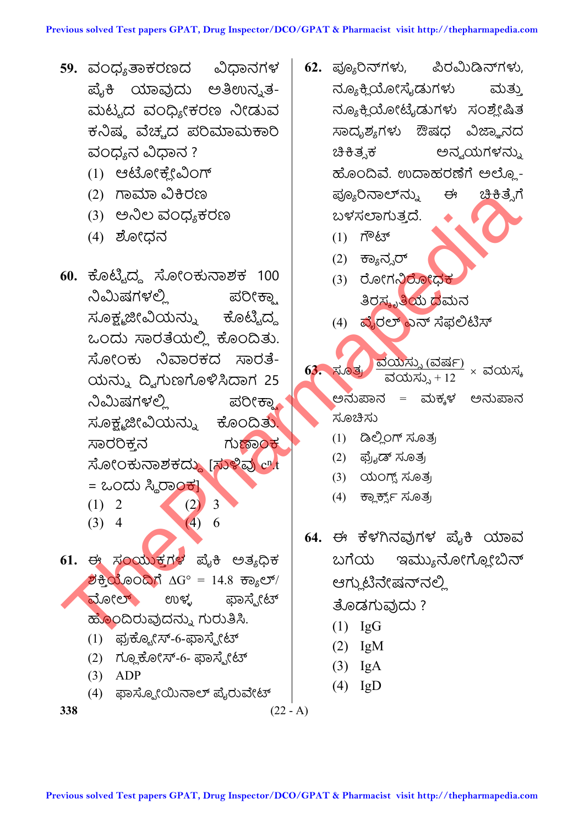- 59. ವಂಧ್ಯತಾಕರಣದ ವಿಧಾನಗಳ ಪೈಕಿ ಯಾವುದು ಅತಿಉನ್ನತ-ಮಟ್ಟದ ವಂಧ್ಯೀಕರಣ ನೀಡುವ ಕನಿಷ್ಠ ವೆಚ್ಚದ ಪರಿಮಾಮಕಾರಿ ವಂಧ್ಯನ ವಿಧಾನ ?
	- $(1)$  et $\ddot{\mathcal{L}}$  et $\ddot{\mathcal{L}}$
	- $(2)$  ಗಾಮಾ $\partial \partial \partial \overline{\partial}$ ರಣ
	- (3) ಅನಿಲ ವಂಧ್ಯಕರಣ
	- (4) ಶೋಧನ
- 338 (22 A) 60. ಕೊಟ್ಟಿದ್ದ ಸೋಂಕುನಾಶಕ 100 ನಿಮಿಷಗಳಲ್ಲಿ ಪರೀಕ್ಷಾ ಸೂಕ್ರಜೀವಿಯನು, ಕೊಟ್ಟಿದ್ದ ಒಂದು ಸಾರತೆಯಲಿ ಕೊಂದಿತು. ಸೋಂಕು ನಿವಾರಕದ ಸಾಗತೆ-ಯನ್ನು ದ್ವಿಗುಣಗೊಳಿಸಿದಾಗ 25 ನಿಮಿಷಗಳಲ್ಲಿ ಪರೀಕ್ಷಾ ಸೂಕ್ತ್ರಜೀವಿಯನ್ನು ಕೊಂದಿತು. ಸಾರರಿಕ್ತನ ಗುಣಾಂಕ ಸೋಂಕುನಾಶಕದ<mark>್ದು [ಸುಳಿವು</mark> c<sup>n</sup>.t = ಒಂದು ಸ್ಮಿರಾಂಕ] (1) 2 (2) 3  $(3)$  4  $(4)$  6 61. ಈ ಸಂಯುಕ್ತಗಳ ಪೈಕಿ ಅತ್ಯಧಿಕ ಶಕ್ತಿಯೊಂದಿಗೆ  $\Delta G^{\circ} = 14.8$  ಕ್ಯಾಲ್/ ಮೋಲ್ ಉಳ್ಳ ಪಾಸ್ಪೇಟ್ ಹೊಂದಿರುವುದನ್ನು ಗುರುತಿಸಿ.  $(1)$  ಪುಕ್ಕೋಸ್-6-ಪಾಸ್ಪೇಟ್  $(2)$  ಗ್ಲೂಕೋಸ್-6- ಫಾಸ್ಪೇಟ್ (3) ADP (4) ಫಾಸ್ಪೋಯಿನಾಲ್ ಪೈರುವೇಟ್
- 62. ಪ್ಯೂರಿನ್ಗಳು, ಪಿರಮಿಡಿನ್ಗಳು, ನ್ಯೂಕ್ಲಿಯೋಸೈಡುಗಳು ಮತ್ತು ನ್ಯೂಕ್ಲಿಯೋಟೈಡುಗಳು ಸಂಶ್ಲೇಷಿತ ಸಾದೃಶ್ಯಗಳು ಔಷಧ ವಿಜ್ಞಾನದ ಚಿಕಿತ್ಸಕ ಅನ್ನಯಗಳನ್ನು ಹೊಂದಿವೆ. ಉದಾಹರಣೆಗೆ ಅಲ್ಲೊ-ಫ್ಯೂರಿನಾಲ್ನುು ಈ ಚಿಕಿತ್ಸೆಗೆ ಬಳಸಲಾಗುತದೆ.  $(1)$   $\vec{\Gamma}^{\circ}$ ಟ್  $(2)$  ಕ್ಯಾನ್ಸರ್  $(3)$  ರೋಗನಿರೋಧಕ ತಿರಸ್<u>ಷ್ಯ</u>ತಿಯ ದಮನ (4) ಪೈರಲ್ ಎನ್ ಸೆಫಲಿಟಿಸ್  $\frac{1}{63}$ . ಸೂತ್ರ ವಯಸ್ಸು $\frac{1}{63}$  ನಯಸ್ಸು + 12  $\times$  ವಯಸ್ಕ ಅನುಪಾನ = ಮಕ,ಳ ಅನುಪಾನ ಸೂಚಿಸು  $(1)$  ಡಿಲ್ಲಿಂಗ್ ಸೂತ್ರ  $(2)$  ಪೈನ್ ಸೂತ್ರ  $(3)$   $\infty$  $\circ$  $\pi$  $\infty$  $\infty$  $\circ$  $\pi$  $(4)$  ಕ್ಲಾರ್ಕ್ಸ್ ಸೂತ್ರ 64. ಈ ಕೆಳಗಿನವುಗಳ ಪೈಕಿ ಯಾವ ಬಗೆಯ ಇಮ್ಯುನೋಗ್ಪೋಬಿನ್ ಆಗ್ಲುಟಿನೇಷನ್ನಲ್ಲಿ ತೊಡಗುವುದು ? (1) IgG (2) IgM (3) IgA (4) IgD Previous solved Test paper GPAT, Drug Important CO/GPAT & Pharmacist visit https://thepharmapedia.com<br>
and the compact of a solved Test paper of the compact of the compact of the compact of the compact of the compact of t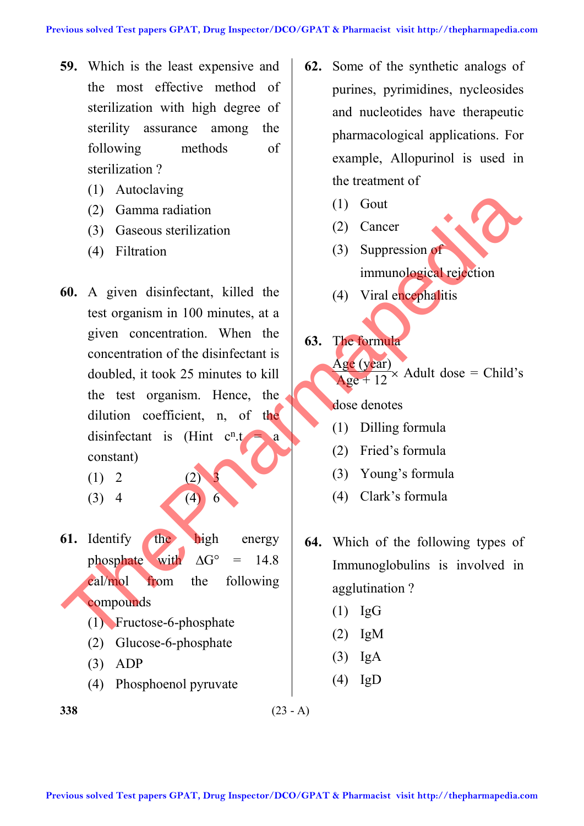- 59. Which is the least expensive and the most effective method of sterilization with high degree of sterility assurance among the following methods of sterilization ?
	- (1) Autoclaving
	- (2) Gamma radiation
	- (3) Gaseous sterilization
	- (4) Filtration
- 60. A given disinfectant, killed the test organism in 100 minutes, at a given concentration. When the concentration of the disinfectant is doubled, it took 25 minutes to kill the test organism. Hence, the dilution coefficient, n, of the disinfectant is (Hint  $c^n$ .t = a constant) **Previous solved Test papers GPAT, Drug Inspector/DCO/GPAT & Pharmacist visit https://thepharmapedia.com**<br> **S9.** Which is the letst expensive and a necessary prices inspectively selecting the mass are distributed by the s
	- (1) 2  $(2)$
	- $(3)$  4  $(4)$

61. Identify the high energy phosphate with  $\Delta G^{\circ} = 14.8$ cal/mol from the following compounds (1) Fructose-6-phosphate (2) Glucose-6-phosphate (3) ADP

(4) Phosphoenol pyruvate

- 62. Some of the synthetic analogs of purines, pyrimidines, nycleosides and nucleotides have therapeutic pharmacological applications. For example, Allopurinol is used in the treatment of
	- (1) Gout
	- (2) Cancer
	- (3) Suppression of immunological rejection
	- (4) Viral encephalitis
- 63. The formula

Age (year)  $\frac{\text{ge}(\text{year})}{\text{ge} + 12}$  Adult dose = Child's

# dose denotes

- (1) Dilling formula
- (2) Fried's formula
- (3) Young's formula
- (4) Clark's formula
- 64. Which of the following types of Immunoglobulins is involved in agglutination ?
	- (1) IgG
	- (2) IgM
	- (3) IgA
	- (4) IgD

 $338$  (23 - A)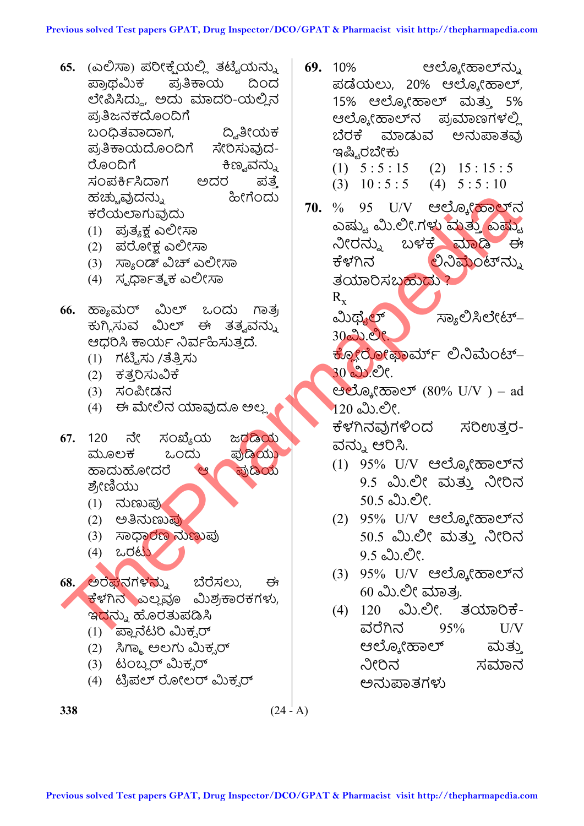- 65. (ಎಲಿಸಾ) ಪರೀಕ್ಷೆಯಲ್ಲಿ ತಟ್ಟೆಯನ್ನು ಪಾಥಮಿಕ ಪ್ರತಿಕಾಯ ದಿಂದ ಲೇಪಿಸಿದ್ದು, ಅದು ಮಾದರಿ-ಯಲ್ಲಿನ ಪ್ರತಿಜನಕದೊಂದಿಗೆ ಬಂಧಿತವಾದಾಗ, ದ್ವಿತೀಯಕ ಪ್ರತಿಕಾಯದೊಂದಿಗೆ ಸೇರಿಸುವುದ-ರೊಂದಿಗೆ ಕಿಣ್ವವನ್ನು ಸಂಪರ್ಕಿಸಿದಾಗ ಅದರ ಪತೆ ಹಚ್ಚುವುದನ್ನು ಹೀಗೆಂದು ಕರೆಯಲಾಗುವುದು Previous solved Test paper GPAT, Drug Inspector/DCO/GPAT & Pharmacist visit https://thepharmapedia.com<br>
angle 2017 and 2018 and 2018 and 2018 and 2018 and 2018 and 2018 and 2018 and 2018 and 2018 and 2018 and 2018 and 201
	- (1) ಪುತ್ಯಕ ಎಲೀಸಾ
	- (2) ಪರೋಕ್ಷ ಎಲೀಸಾ
	- (3) ಸ್ಯಾಂಡ್ ವಿಚ್ ಎಲೀಸಾ
	- (4) ಸ್ಪರ್ಧಾತ್ಮಕ ಎಲೀಸಾ
	- 66. ಹ್ಯಾಮರ್ ಮಿಲ್ ಒಂದು ಗಾತ್ರ ಕುಗ್ಮಿಸುವ ಮಿಲ್ ಈ ತತ್ವವನ್ನು ಆಧರಿಸಿ ಕಾರ್ಯ ನಿರ್ವಹಿಸುತ್ತದೆ.
		- (1) ಗಟ್ಟಿಸು /ತೆತ್ತಿಸು
		- $(2)$  ಕತ್ತರಿಸುವಿಕೆ
		- (3) ಸಂಪೀಡನ
		- (4) ಈ ಮೇಲಿನ ಯಾವುದೂ ಅಲ್ಲ
	- $67.$  120 ನೇ ಸಂಖ್ಯೆಯ ಜ<mark>ರಡಿಯ</mark> ಮೂಲಕ ಒಂದು ಪುಡಿಯು ಹಾದುಹೋದರೆ ಆ ಪುಡಿಯ ಶ್ರೇಣಿಯು
		- (1) <u>ನುಣುಪು</u>
		- $(2)$  පತಿನುಣುಪು
		- (3) ಸಾಧಾರಣ ನುಣುಪು
		- (4) ಒರಟು

68. ಅರೆಘನಗಳನ್ನು ಬೆರೆಸಲು, ಈ ಕೆಳಗಿನ ಎಲವೂ ಮಿಶ್ರಕಾರಕಗಳು, ಇದನ್ನು ಹೊರತುಪಡಿಸಿ

- $(1)$  ಪ್ರಾನೆಟರಿ ಮಿಕ್ಸರ್
- (2) ಸಿಗ್ಮಾ ಅಲಗು ಮಿಕ್ಸರ್
- (3) ಟಂಬ್ಲರ್ ಮಿಕ್ಸರ್
- (4) ಟೈಪಲ್ ರೋಲರ್ ಮಿಕ್ಸರ್

69. 10% ಆಲ್ಕೋಹಾಲ್**ನ್ನು** ಪಡೆಯಲು, 20% ಆಲ್ಕೋಹಾಲ್, 15% ಆಲ್ಕೋಹಾಲ್ ಮತ್ತು 5% ಆಲ್ಕೋಹಾಲ್ನ ಪ್ರಮಾಣಗಳಲಿ ಬೆರಕೆ ಮಾಡುವ ಅನುಪಾತಮ ಇಷ್ಟಿರಬೇಕು (1)  $5:5:15$  (2)  $15:15:5$ (3)  $10:5:5$  (4)  $5:5:10$ 

- 70. % 95 U/V ಆಲ್ಕೋಹಾಲ್**ನ** ಎಷ್ಟು ಮಿ.ಲೀ.ಗಳು ಮತ್ತು ಎಷ್ಟು ನೀರನ್ನು ಬಳಕೆ <mark>ಮಾಡಿ</mark> ಈ ಕೆಳಗಿನ ಲಿನಿಮೆಂಟ್ನು ತಯಾರಿಸಬಹುದು ?  $R_{\rm x}$ 
	- ಮಿಥ್ಯಲ್ ಸ್ಯಾಲಿಸಿಲೇಟ್– 30 20.ele ಕ್ಕೋರೋಫಾರ್ಮ್ ಲಿನಿಮೆಂಟ್–

30 23.9c. ಆಲ್ಕೋಹಾಲ್ (80% U/V) – ad

 $120$  ಮಿ.ಲೀ.

ಕೆಳಗಿನವುಗಳಿಂದ ಸರಿಉತ್ತರ-ವನ್ನು ಆರಿಸಿ.

- $(1)$   $95\%$  U/V ಆಲ್ಕೋಹಾಲ್ನ 9.5 ಮಿ.ಲೀ ಮತು ನೀರಿನ 50.5 ಮಿ.ಲೀ.
- $(2)$   $95\%$  U/V ಆಲ್ಕೋಹಾಲ್ನ 50.5 ಮಿ.ಲೀ ಮತ್ತು ನೀರಿನ  $9.5 \,$ . 9. e $9$
- $(3)$   $95\%$  U/V escondration  $60$  ಮಿ.ಲೀ ಮಾತ $.$
- $(4)$   $120$  a. e.e.  $\leqslant$  and  $\frac{1}{20}$ ವರೆಗಿನ  $95\%$  U/V ಆಲ್ಕೋಹಾಲ್ ಮತ್ತು ඛೕคನ ಸನ ಅನುಪಾತಗಳು

 $338$  (24 - A)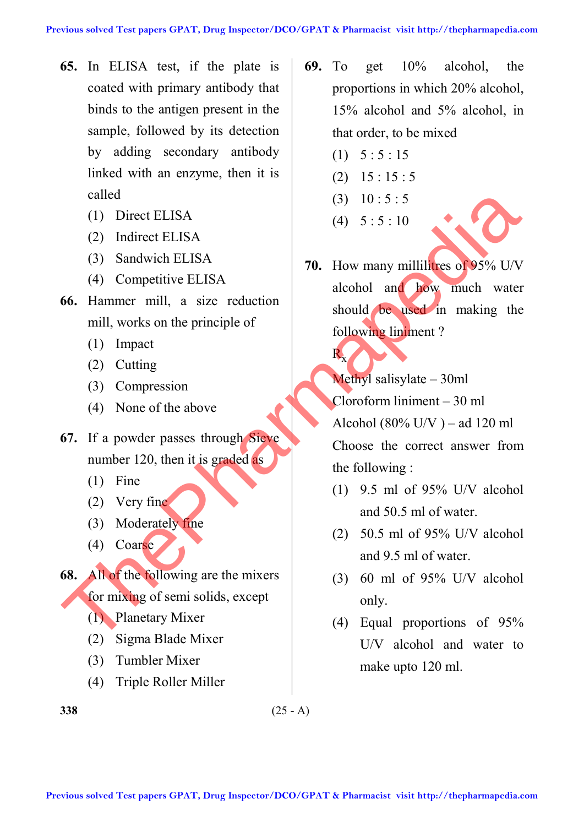- 65. In ELISA test, if the plate is coated with primary antibody that binds to the antigen present in the sample, followed by its detection by adding secondary antibody linked with an enzyme, then it is called Previous solved Test papers GPAT, Drug Important visit http://thepharmapedia.com<br>
65. In ELISA test, if the plute is<br>
conted with primary suithofoly that the content wise hereby alcohol, in<br>
binds to the antiger present i
	- (1) Direct ELISA
	- (2) Indirect ELISA
	- (3) Sandwich ELISA
	- (4) Competitive ELISA
	- 66. Hammer mill, a size reduction mill, works on the principle of
		- (1) Impact
		- (2) Cutting
		- (3) Compression
		- (4) None of the above
	- 67. If a powder passes through Sieve number 120, then it is graded as
		- (1) Fine
		- (2) Very fine
		- (3) Moderately fine
		- (4) Coarse
	- 68. All of the following are the mixers for mixing of semi solids, except
		- (1) Planetary Mixer
		- (2) Sigma Blade Mixer
		- (3) Tumbler Mixer
		- (4) Triple Roller Miller

69. To get 10% alcohol, the proportions in which 20% alcohol, 15% alcohol and 5% alcohol, in that order, to be mixed

- $(1)$  5 : 5 : 15
- $(2)$  15 : 15 : 5
- $(3)$  10 : 5 : 5
- $(4)$  5 : 5 : 10

 $R_{\rm v}$ 

70. How many millilitres of 95% U/V alcohol and how much water should be used in making the following liniment ?

> Methyl salisylate – 30ml Cloroform liniment – 30 ml Alcohol (80% U/V) – ad 120 ml Choose the correct answer from the following :

- (1) 9.5 ml of 95% U/V alcohol and 50.5 ml of water.
- (2) 50.5 ml of 95% U/V alcohol and 9.5 ml of water.
- (3) 60 ml of 95% U/V alcohol only.
- (4) Equal proportions of 95% U/V alcohol and water to make upto 120 ml.

338 (25 - A)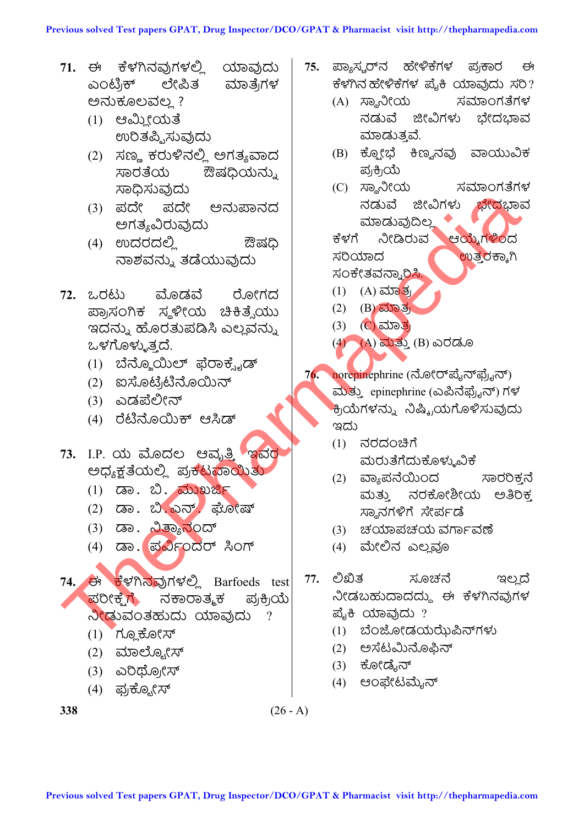- 71. ಈ ಕೆಳಗಿನವುಗಳಲ್ಲಿ ಯಾವುದು ಎಂಟ್ರಿಕ್ ಲೇಪಿತ ಮಾತ್ರೆಗಳ ಅನುಕೂಲವಲ್ಲ ?
	- $(1)$  ಆಮ್ಲೀಯತೆ ಉರಿತಪ್ಪಿಸುವುದು
	- (2) ಸಣ್ಣ ಕರುಳಿನಲ್ಲಿ ಅಗತ್ಯವಾದ ಸಾರತೆಯ ಔಷಧಿಯನ್ನು ಸಾದಿಸುವುದು
	- (3) ಪದೇ ಪದೇ ಅನುಪಾನದ ಅಗತ್ಯವಿರುವುದು
	- (4) ಉದರದಲ್ಲಿ ಔಷಧಿ ನಾಶವನ್ನು ತಡೆಯುವುದು
- 72. ಒರಟು ಮೊಡವೆ ರೋಗದ ಪ್ರಾಸಂಗಿಕ ಸ್ಥಳೀಯ ಚಿಕಿತ್ಸೆಯು ಇದನ್ನು ಹೊರತುಪಡಿಸಿ ಎಲ್ಲವನ್ನು ಒಳಗೊಳ್ಳುತ್ತದೆ.
	- (1) ಬೆನ್ಮೊಯಿಲ್ ಫೆರಾಕ್ಸೈಡ್
	- (2) ಐಸೊಟೈಟಿನೊಯಿನ್
	- (3) ಎಡಪೆಲೀನ್
	- (4) ರಟಿನೊಯಿಕ್ ಆಸಿಡ್
- 73. I.P. ಯ ಮೊದಲ ಆವೃತ್ತಿ ಇವರ ಅಧ್ಯಕ್ಷತೆಯಲ್ಲಿ ಪ್ರಕ<mark>ಟವಾಯಿತು</mark>
	- (1) ಡಾ. ಬಿ. ಮುಖರ್ಜಿ
	- (2) ಡಾ. ಬಿ.ಎನ್. ಘೋಷ್
	- $(3)$   $\overline{w}$ .  $\partial \overline{\partial s}$   $\overline{\partial}$
	- $(4)$   $\overline{w}$ .  $\overline{w}$   $\overline{w}$   $\overline{w}$   $\overline{w}$   $\overline{w}$

74. ಈ ಕೆಳಗಿನವುಗಳಲ್ಲಿ Barfoeds test  $\vec{v}$ ದಿಗೆ ನಕಾರಾತ್ಮಕ ಪ್ರಕ್ರಿಯೆ ನೀಡುವಂತಹುದು ಯಾವುದು  $\cdot$  ?

- $(1)$  ಗ್ಲೂಕೋಸ್
- $(2)$  ಮಾಲ್ಮೋಸ್
- $(3)$  ಎರಿದೋ¦ಸ್
- $(4)$  ಪುಕ್ಕೋಸ್

338 (26 - A)

- 75. ಪ್ಯಾಸ್ಕ್ಕರ್ನ ಹೇಳಿಕೆಗಳ ಪ್ರಕಾರ ಈ ಕೆಳಗಿನ ಹೇಳಿಕೆಗಳ ಪೈಕಿ ಯಾವುದು ಸರಿ?
	- (A) ಸ್ಯಾನೀಯ ಸಮಾಂಗತೆಗಳ ನಡುವೆ ಜೀವಿಗಳು ಭೇದಭಾವ ಮಾಡುತವೆ.
	- (B) ಕ್ಸೋಭೆ ಕಿಣ್ಯನವು ವಾಯುವಿಕ ಪು<del>ಕಿ</del>ಯ
- (C) ಸ್ಮಾನೀಯ ಸಮಾಂಗತೆಗಳ ನಡುವೆ ಜೀವಿಗಳು <mark>ಭೇದ</mark>ಭಾವ ಮಾಡುವುದಿಲ ಕಳಗೆ ನೀಡಿರುವ ಆಯ್ಕೆಗಳಿಂದ ಸರಿಯಾದ ಉತ್ತರಕ್ಕಾಗಿ Previous solved Test paper GPAT, Drug Inspector/DCO/GPAT & Pharmacist visit http://thepharmapedia.com<br>
and  $\delta\delta\beta\gamma\rightarrow\gamma$  control of the control of the control of the control of the control of the control of the control o
	- ಸಂಕೇತವನ್ನಾರಿಸಿ.  $(1)$   $(A)$  ಮಾತ್ರ
	- (2) (B) ತ
	- $(3)$   $(C)$  ಮಾತ್ರ
	- (4) (A) ಮತ್ತು (B) ಎರಡೂ

76. norepinephrine (ನೋರ್ ಪೈನ್ ಫೈನ್) ಮತ್ತು epinephrine (ಎಪಿನೆಫೈನ್) ಗಳ ಕ್ರಿಯೆಗಳನ್ನು ನಿಷ್ಕ್ರಿಯಗೊಳಿಸುವುದು ಇದು

- (1) ನರದಂಚಿಗೆ ಮರುತೆಗೆದುಕೊಳ್ಳುವಿಕೆ
- (2) ವ್ಯಾಪನೆಯಿಂದ ಸಾರರಿಕನೆ ಮತು ನರಕೋಶೀಯ ಅತಿರಿಕ ಸ್ಮಾನಗಳಿಗೆ ಸೇರ್ಪಡೆ
- (3) ಚಯಾಪಚಯ ವರ್ಗಾವಣಿ
- (4) ಮೇಲಿನ ಎಲ್ಲವೂ
- 77. ಲಿಖಿತ ಸೂಚನೆ ಇಲದೆ ನೀಡಬಹುದಾದದ್ದು ಈ ಕೆಳಗಿನವುಗಳ ಪೈ<del>ಕಿ</del> ಯಾವುದು ?
	- (1) ಬೆಂಜೋಡಯಝಪಿನ್ಗಳು
	- (2) ಅಸೆಟಮಿನೊಫಿನ್
	- $(3)$  ಕೋಡೈನ್
	- (4) ಆಂಪೇಟಮ್ಮೆನ್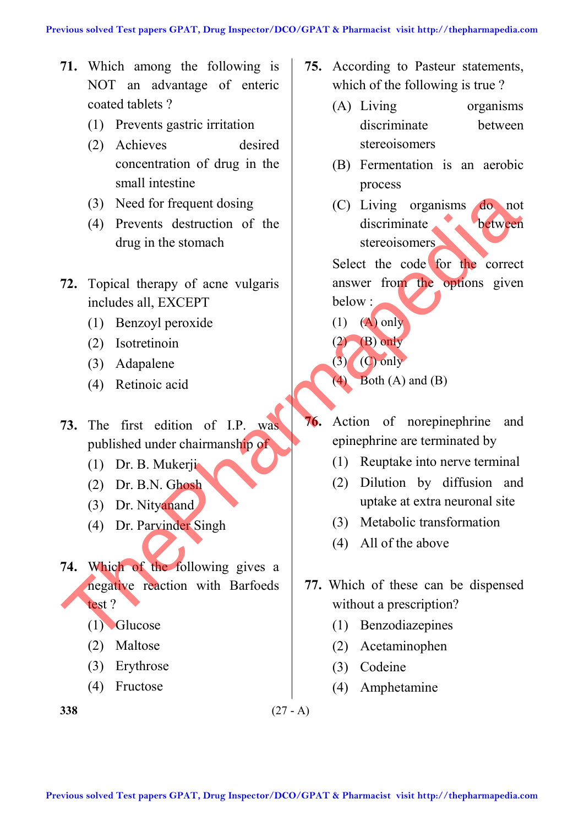- 71. Which among the following is NOT an advantage of enteric coated tablets ?
	- (1) Prevents gastric irritation
	- (2) Achieves desired concentration of drug in the small intestine
	- (3) Need for frequent dosing
	- (4) Prevents destruction of the drug in the stomach
- 72. Topical therapy of acne vulgaris includes all, EXCEPT
	- (1) Benzoyl peroxide
	- (2) Isotretinoin
	- (3) Adapalene
	- (4) Retinoic acid
- 73. The first edition of I.P. was published under chairmanship of
	- (1) Dr. B. Mukerji
	- (2) Dr. B.N. Ghosh
	- (3) Dr. Nityanand
	- (4) Dr. Parvinder Singh
- 74. Which of the following gives a negative reaction with Barfoeds test ? Previous solved Test papers GPAT, Drug Ingels of Cord CPAT, Previous generation of the Collowing is the Collombia content of the Collombia content of the Collombia content of the Collombia content of the content of the con
	- (1) Glucose
	- (2) Maltose
	- (3) Erythrose
	- (4) Fructose

- 75. According to Pasteur statements, which of the following is true?
	- (A) Living organisms discriminate between stereoisomers
	- (B) Fermentation is an aerobic process
	- (C) Living organisms do not discriminate between stereoisomers

 Select the code for the correct answer from the options given below :

- $(1)$   $(A)$  only
	- (2) (B) only

$$
(3) (C) only
$$

- $(4)$  Both  $(A)$  and  $(B)$
- 76. Action of norepinephrine and epinephrine are terminated by
	- (1) Reuptake into nerve terminal
	- (2) Dilution by diffusion and uptake at extra neuronal site
	- (3) Metabolic transformation
	- (4) All of the above
- 77. Which of these can be dispensed without a prescription?
	- (1) Benzodiazepines
	- (2) Acetaminophen
	- (3) Codeine
	- (4) Amphetamine

 $338$  (27 - A)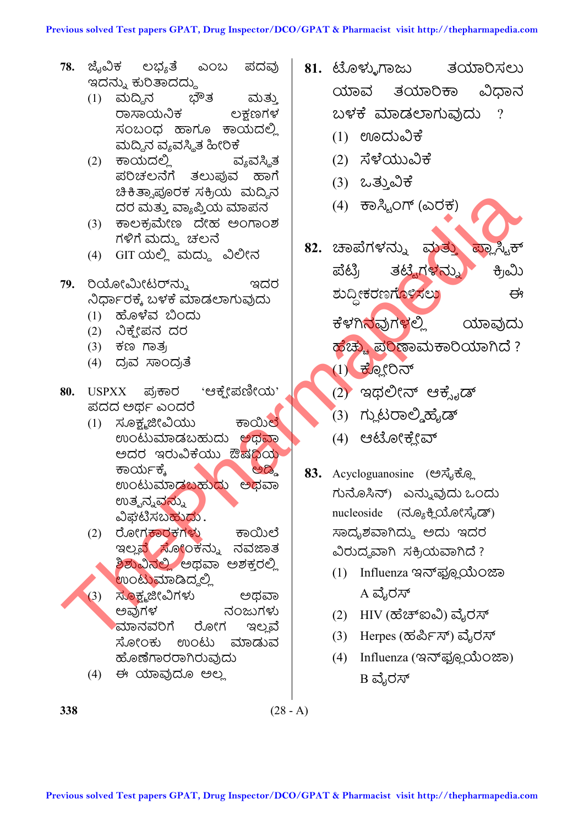- 78. ಜೈವಿಕ ಲಭ್ಯತೆ ಎಂಬ ಪದವು ಇದನ್ನು ಕುರಿತಾದದ್ದು
	- (1) ಮದ್ಯಿನ ಭೌತ ಮತ್ತು ರಾಸಾಯನಿಕ ಲಕಣಗಳ ಸಂಬಂಧ ಹಾಗೂ ಕಾಯದಲ್ಲಿ ಮದ್ಯಿನ ವ್ಯವಸ್ಥಿತ ಹೀರಿಕೆ
	- (2) ಕಾಯದಲ್ಲಿ ವ್ಯವಸ್ಥಿತ ಪರಿಚಲನೆಗೆ ತಲುಪುವ ಹಾಗೆ ಚಿಕಿತ್ಯಾಪೂರಕ ಸಕ್ರಿಯ ಮದ್ಯಿನ ದರ ಮತ್ತು ವ್ಯಾಪ್ತಿಯ ಮಾಪನ
	- (3) ಕಾಲಕ್ರಮೇಣ ದೇಹ ಅಂಗಾಂಶ ಗಳಿಗೆ ಮದ್ದು ಚಲನೆ
	- (4) GIT ಯಲ್ಲಿ ಮದ್ದು ವಿಲೀನ
- 79. ರಿಯೋಮೀಟರ್ನ್ನು ಇದರ ನಿರ್ಧಾರಕ್ಕೆ ಬಳಕೆ ಮಾಡಲಾಗುವುದು
	- (1) ಹೊಳೆವ ಬಿಂದು
	- (2) ನಿಕ್ಸೇಪನ ದರ
	- $(3)$  ಕಣ ಗಾತ್ರ
	- (4) ದೂವ ಸಾಂದ್ರತೆ
- 80. USPXX ಪ್ರಕಾರ 'ಆಕ್ಸೇಪಣೀಯ' ಪದದ ಅರ್ಥ ಎಂದರೆ
	- (1) ಸೂಕ್ಕಜೀವಿಯು ಕಾಯಿಲೆ ಉಂಟುಮಾಡಬಹುದು <mark>ಅಥವಾ</mark> ಅದರ ಇರುವಿಕೆಯು ಔಷಧಿಯ ಕಾರ್ಯಕ್ಕೆ ಅಡಿ. ಉಂಟುಮಾಡಬಹುದು ಅಥವಾ ಉತ್ಪನ್ನ**ವ**ನ್ನು ವಿಘಟಿಸಬಹುದು.
	- (2) ರೋಗ<del>ಕಾರಕ</del>ಗಳು ಕಾಯಿಲೆ ಇಲ್ಲವೆ ಸೋಂಕನ್ನು ನವಜಾತ ಶಿಶುವಿನಲಿ ಅಥವಾ ಅಶಕರಲಿ ಉಂಟುಮಾಡಿದ್ದಲಿ
	- (3) ಸೂಕ್ಷ್ಮಜೀವಿಗಳು ಅಥವಾ ಅವುಗಳ ನಂಜುಗಳು ಮಾನವರಿಗೆ ರೋಗ ಇಲ್ಲವೆ ಸೋಂಕು ಉಂಟು ಮಾಡುವ ಹೊಣೆಗಾರರಾಗಿರುವುದು
	- (4) ಈ ಯಾವುದೂ ಅಲ್ಲ
- 81. ಟೊಳ್ಳುಗಾಜು ತಯಾರಿಸಲು ಯಾವ ತಯಾರಿಕಾ ವಿಧಾನ ಬಳಕೆ ಮಾಡಲಾಗುವುದು ?
	- $(1)$  ಊಧುವಿಕೆ
	- $(2)$  จึะวันงู สิ
	- $(3)$  ಒತ್ತುವಿಕೆ
	- (4) ಕಾಸ್ಟಿಂಗ್ (ಎರಕ)
- 82. ಚಾಪೆಗಳನ್ನು ಮತ್ತು ಪ್ಲಾಸ್ಟಿಕ್ ಪಟ್ರಿ ತಟ್ಟೆಗಳನ್ನು ಕ್ರಿಮಿ ಶುದ್ಧೀಕರಣಗ<mark>ೊಳಿಸಲು</mark> ಈ ಕೆಳಗಿನವುಗಳಲ್ಲಿ ಯಾವುದು ಹೆಚ್ಚು ಪರಿಣಾಮಕಾರಿಯಾಗಿದೆ ?  $(1)$  ಕೋರಿನ್ Previous solved Test papers GPAT, Drug Important CO/GPAT & Pharmacist visit https://thepharmapedia.com<br>
website or the control of the control of the control of the control of the control of the control of the control of t
	- $(2)$  ಇಥಲೀನ್ ಆಕ್ಸೈಡ್
	- $(3)$  ಗ್ಲುಟರಾಲ್ಡಿಹೈಡ್
	- $(4)$  ಆಟೋಕ್ಷೇವ್
	- 83. Acycloguanosine  $(9\vec{a}_3\vec{\sigma}_9)$ ಗುನೊಸಿನ್) ಪಮ್ಮವುದು ಒಂದು nucleoside (ನ್ಯೂಕ್ಲಿಯೋಸೈಡ್) ಸಾದೃಶವಾಗಿದ್ದು ಅದು ಇದರ ವಿರುದ್ಧವಾಗಿ ಸಕ್ರಿಯವಾಗಿದೆ ?
		- (1) Influenza ಇನ್ ಫ್ಲೂಯೆಂಜಾ A ವೈರಸ್
		- (2) HIV (ಹೆಚ್ಐವಿ) ವೈರಸ್
		- (3) Herpes (ಹರ್ಪಿಸ್) ವೈರಸ್
		- (4) Influenza (ಇನ್ ಫ್ಲೂಯೆಂಜಾ)  $B$  ವೈರಸ್

 $338$  (28 - A)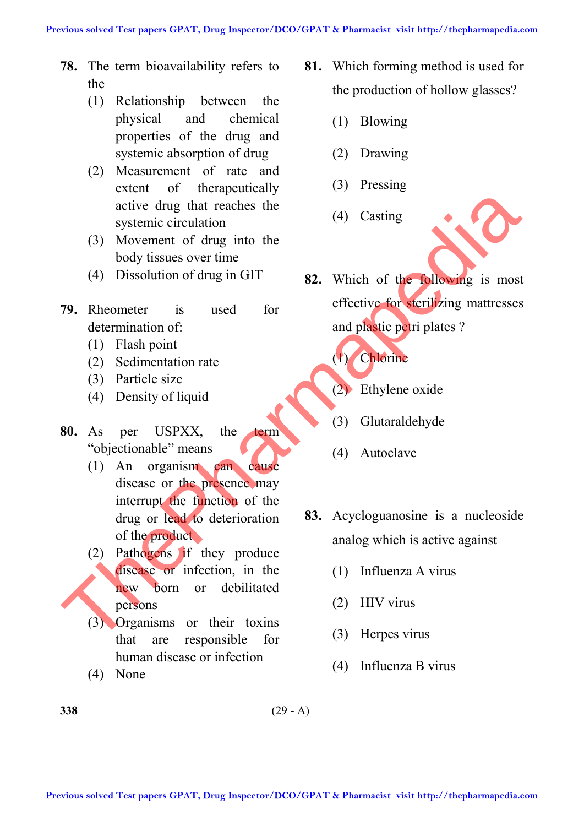- 78. The term bioavailability refers to the
	- (1) Relationship between the physical and chemical properties of the drug and systemic absorption of drug
	- (2) Measurement of rate and extent of therapeutically active drug that reaches the systemic circulation
	- (3) Movement of drug into the body tissues over time
	- (4) Dissolution of drug in GIT
- 79. Rheometer is used for determination of:
	- (1) Flash point
	- (2) Sedimentation rate
	- (3) Particle size
	- (4) Density of liquid
- 80. As per USPXX, the term "objectionable" means
- (1) An organism can cause disease or the presence may interrupt the function of the drug or lead to deterioration of the product Previous solved Test papers GPAT, Drug Ingestow-ToCo/GPAT & Pharmacist visit https://thepharmapedia.com<br>
(1) Relationship between the the production of hollow glasses?<br>
(1) Relationship between the three and<br>
physical and
	- (2) Pathogens if they produce disease or infection, in the new born or debilitated persons
	- (3) Organisms or their toxins that are responsible for human disease or infection

(4) None

- 81. Which forming method is used for the production of hollow glasses?
	- (1) Blowing
	- (2) Drawing
	- (3) Pressing
	- (4) Casting
- 82. Which of the following is most effective for sterilizing mattresses and plastic petri plates ?
	- (1) Chlorine
	- (2) Ethylene oxide
	- (3) Glutaraldehyde
	- (4) Autoclave
- 83. Acycloguanosine is a nucleoside analog which is active against
	- (1) Influenza A virus
	- (2) HIV virus
	- (3) Herpes virus
	- (4) Influenza B virus

 $338$  (29 - A)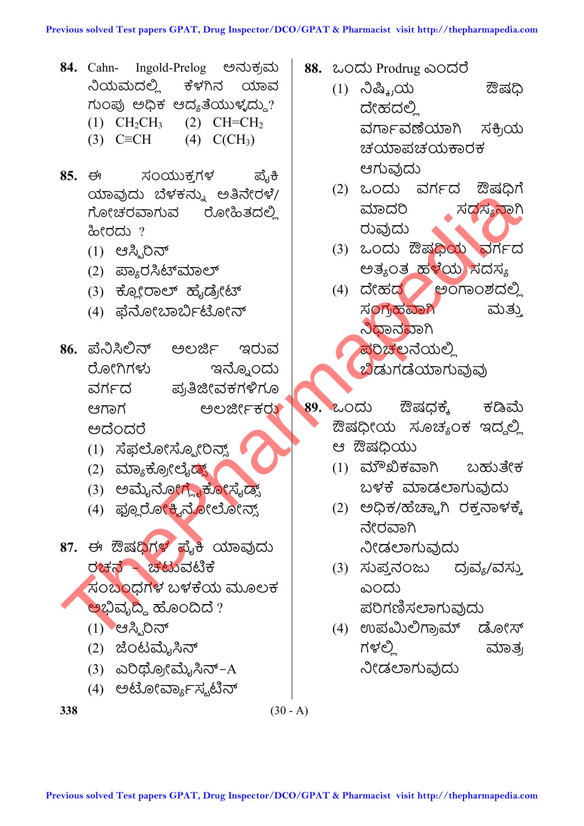- 84. Cahn- Ingold-Prelog ಅನುಕ್ರಮ ನಿಯಮದಲಿ ಕೆಳಗಿನ ಯಾವ ಗುಂಪು ಅಧಿಕ ಆದ್ಯತೆಯುಳ್ಳದ್ದು? (1)  $CH_2CH_3$  (2)  $CH=CH_2$ (3)  $C \equiv CH$  (4)  $C(CH_3)$
- 85. ಈ ಸಂಯುಕಗಳ ಪ್ಯೆಕಿ ಯಾವುದು ಬೆಳಕನ್ನು ಅತಿನೇರಳೆ/ ಗೋಚರವಾಗುವ ರೋಹಿತದಲ್ಲಿ ಹೀರದು ?
	- (1) ಆಸ್ಪಿರಿನ<u>್</u>
	- $(2)$  ಪ್ಯಾರಸಿಟ್ಮಾಲ್
	- (3) ಕೋರಾಲ್ ಹೈಡ್ರೇಟ್
	- (4) ಪೆನೋಬಾರ್ಬಿಟೋನ್

86. ಪೆನಿಸಿಲಿನ್ ಅಲರ್ಜಿ ಇರುವ ರೋಗಿಗಳು ಇನ್ನೊಂದು ವರ್ಗದ ಪ್ರತಿಜೀವಕಗಳಿಗೂ ಆಗಾಗ ಅಲರ್ಜೀಕರು ಅದೆಂದರೆ Theriam solved Test paper GPAT, Drug Inspector/DCO/GPAT & Pharmacist visit http://thepharmapedia.com<br>
26. Calub 2000 (1)  $\Delta \phi$ 2000 (1)  $\Delta \phi$ 2000 (1)  $\Delta \phi$ 2000 (1)  $\Delta \phi$ 2000 (1)  $\Delta \phi$ 2000 (1)  $\Delta \phi$ 2000 (1)  $\Delta \phi$ 2000

- $(1)$   $\vec{a}$  ಫಲೋಸ್ಪೋರಿನ್ಸ್
- $(2)$  ಮ್ಯಾಕ್ರೋಲೈಡ್
- (3) ಅಮೈನೋಗ್ಲೈಕೋಸೈಡ್ಸ್
- (4) ฌೕ౾౷ ඣೕสೕඨ౺
- 87. ಈ ಔಷಧಿಗಳ ಪೈಕಿ ಯಾವುದು ರಚನ - ಚಟುವಟಿಕೆ ಸಂಬಂಧಗಳ ಬಳಕೆಯ ಮೂಲಕ ಅಭಿವೃದ್ಧಿ ಹೊಂದಿದೆ ?
	- $(1)$  ಆಸಿ ರಿನ್
	- (2) ಜೆಂಟಮೈಸಿನ್
	- $(3)$   $\omega$ ರಿಥ್ರೋಮೈಸಿನ್-A
	- (4) ಅಟೋರ್ವ್ಯಾಸ್ಟಟಿನ್



88. ಒಂದು Prodrug ಎಂದರೆ

- (1) ನಿಷ್ಕ್ರಿಯ ಔಷಧಿ ದೇಹದಲ್ಲಿ ವರ್ಗಾವಣೆಯಾಗಿ ಸಕಿಯ ಚಯಕಾರಕ ಆಗುವುದು
- (2) ಒಂದು ವರ್ಗದ ಔಷಧಿಗೆ ಮಾದರಿ ಸದಸ್ಯನಾಗಿ ರುವುದು
- $(3)$  ಒಂದು ಔಷಧಿಯ ವರ್ಗದ ಅತ್ಯಂತ ಹಳೆಯ ಸದಸ್ಯ
- (4) ದೇಹದ ಅಂಗಾಂಶದಲ್ಲಿ ಸಂಗ್ರಹವಾಗಿ ಮತ್ತು ನಿಧಾನವಾಗಿ ಪರಿಚಲನೆಯಲಿ
	- ಬಿಡುಗಡೆಯಾಗುವುವು
- 89. ಒಂದು ಔಷದಕ್ಕೆ ಕಡಿಮೆ ಔಷಧೀಯ ಸೂಚ್ಯಂಕ ಇದ್ದಲ್ಲಿ ಆ ಔಷಧಿಯು
	- (1) ಮೌಖಿಕವಾಗಿ ಬಹುತೇಕ ಬಳಕೆ ಮಾಡಲಾಗುವುದು
	- $(2)$  ಅಧಿಕ/ಹೆಚ್ಚಾಗಿ ರಕ್ತನಾಳಕ್ಕೆ ನೇರವಾಗಿ ನೀಡಲಾಗುವುದು
	- (3) ಸುಪ್ತನಂಜು ದ್ರವ್ಯ/ವಸ್ತು ಎಂದು ಪರಿಗಣಿಸಲಾಗುವುದು
	- (4) ಉಪಮಿಲಿಗ್ರಾಮ್ ಡೋಸ್ ಗಳಲಿ ಮಾತ್ರ ನೀಡಲಾಗುವುದು

338 (30 - A)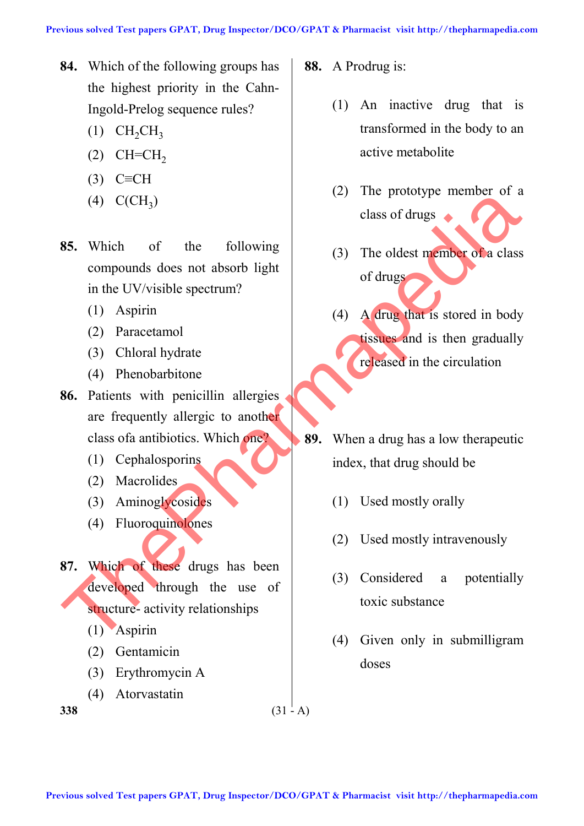- 84. Which of the following groups has the highest priority in the Cahn-Ingold-Prelog sequence rules?
	- $(1)$  CH<sub>2</sub>CH<sub>3</sub>
	- $(2)$  CH=CH<sub>2</sub>
	- $(3)$  C≡CH
- (4)  $C(CH_3)$
- 85. Which of the following compounds does not absorb light in the UV/visible spectrum?
	- (1) Aspirin
	- (2) Paracetamol
	- (3) Chloral hydrate
	- (4) Phenobarbitone
- 86. Patients with penicillin allergies are frequently allergic to another class ofa antibiotics. Which one?
	- (1) Cephalosporins
	- (2) Macrolides
	- (3) Aminoglycosides
	- (4) Fluoroquinolones
- 87. Which of these drugs has been developed through the use of structure- activity relationships (4)  $C(H<sub>3</sub>)$ <br> **85.** Which of the following<br>
compounds does not absorb light<br>
in the UV-visible spectrum?<br>
(1) Aspirin<br>
(2) Paracetamol<br>
(3) Chloral hydrate<br>
(4) Phenobarbitone<br>
(3) Cholcral hydrate<br>
(4) Phenobarbitone<br>
	- (1) Aspirin
	- (2) Gentamicin
	- (3) Erythromycin A
	- (4) Atorvastatin

- 88. A Prodrug is:
	- (1) An inactive drug that is transformed in the body to an active metabolite
	- (2) The prototype member of a class of drugs
	- (3) The oldest member of a class of drugs
	- (4) A drug that is stored in body tissues and is then gradually released in the circulation
- 89. When a drug has a low therapeutic index, that drug should be
	- (1) Used mostly orally
	- (2) Used mostly intravenously
	- (3) Considered a potentially toxic substance
	- (4) Given only in submilligram doses

 $338$  (31 - A)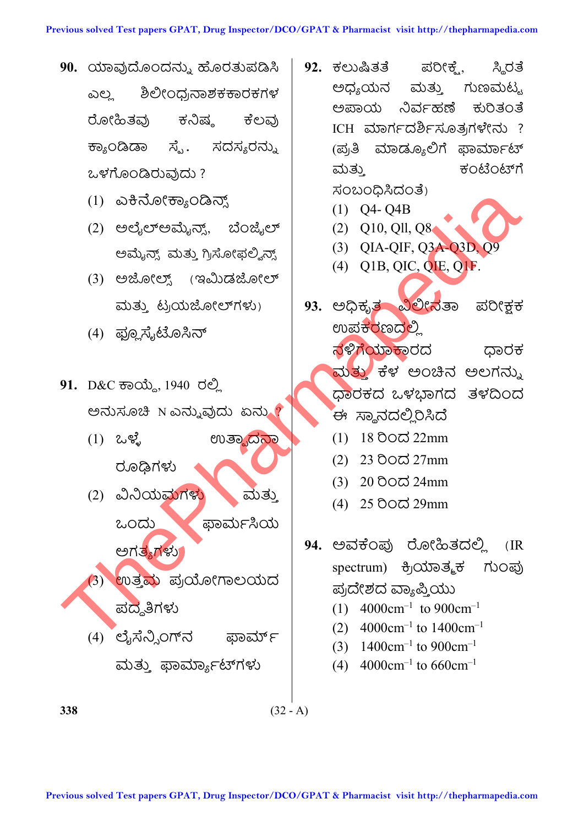- 90. ಯಾವುದೊಂದನ್ನು ಹೊರತುಪಡಿಸಿ ಎಲ ಶಿಲೀಂಧ್ರನಾಶಕಕಾರಕಗಳ ರೋಹಿತವು ಕನಿಷ್ಠ ಕೆಲವು ಕ್ಯಾಂಡಿಡಾ ಸ್ಪೆ. ಸದಸ್ಯರನ್ನು ಒಳಗೊಂಡಿರುವುದು ?
	- (1) ಎಕಿನೋಕ್ಯಾಂಡಿನ್ಸ್
	- $(2)$  ಅಲೈಲ್ಅಮೈನ್ಸ್, ಬೆಂಜೈಲ್ ಅಮೈನ್ಸ್ ಮತ್ತು ಗ್ರಿಸೋಫಲ್ವಿನ್ಸ್
	- $(3)$  ಅಜೋಲ್ಸ್ (ಇಮಿಡಜೋಲ್ ಮತ್ತು ಟ್ರಯಜೋಲ್ಗಳು)
	- (4) ಫ್ಲೂಸೈಟೊಸಿನ್
- 91. D&C ಕಾಯ್ದೆ, 1940 ರಲ್ಲಿ ಅನುಸೂಚಿ Nಎನ್ನುವುದು ಏನು <mark>?</mark>
	- (1) ಒಳ್ಳೆ ಉತ್ಪಾದನಾ ರೂಡಿಗಳು
	- $(2)$  ವಿನಿಯಮಗಳು ಮತು ಒಂದು ಪಾರ್ಮಸಿಯ
	- ಅಗತ್ಯಗಳು (3) ಉತ್ತಮ ಪ್ರಯೋಗಾಲಯದ ಪದ್ಧತಿಗಳು
	- $(4)$  ಲೈಸೆನ್ಸಿಂಗ್ನ ಪಾರ್ಮ್ ಮತ್ತು ಪಾರ್ಮ್ಯಾಟ್ಗಳು
- 92. ಕಲುಷಿತತೆ ಪರೀಕ್ಷೆ, ಸ್ಮಿರತೆ ಅಧ್ಯಯನ ಮತ್ತು ಗುಣಮಟ್ಟ ಅಪಾಯ ನಿರ್ವಹಣೆ ಕುರಿತಂತೆ ICH ಮಾರ್ಗದರ್ಶಿಸೂತ್ರಗಳೇನು ? (ಪ್ರತಿ ಮಾಡ್ಯೂಲಿಗೆ ಫಾರ್ಮಾಟ್ ಮತು ಅಂಟೆಂಟ್ಗ ಸಂಬಂಧಿಸಿದಂತೆ) (1) Q4- Q4B (2) Q10, Qll, Q8 (3) QIA-QIF, Q3A-Q3D, Q9 (4) Q1B, QIC, QIE, Q1F. 93. ಅಧಿಕೃತ ವಿಲೀನತಾ ಪರೀಕ್ಷಕ ಉಪಕ**ರ**ಣದಲ್ಲಿ ನಳಿಗೆಯಾಕಾರದ ದಾರಕ ಮತು, ಕೆಳ ಅಂಚಿನ ಅಲಗನ್ನು උರಕದ ಒಳූಗದ ತಳൽಂದ ಈ ಸ್ಥಾನದಲ್ಲಿರಿಸಿದೆ  $(1)$  18 00 $\vec{\omega}$  22mm (2) 23 คಂದ 27mm Previous solved Test paper GPAT, Drug Inspector/ACO/GPAT & Pharmacist visit http://thepharmapedia.com<br>
20. abc/contractivity and the example of the solution of the solution of the solution of the example of the solution o
	- (3) 20 คಂದ 24mm
	- (4) 25 คಂದ 29mm
	- 94. ಅವಕೆಂಪು ರೋಹಿತದಲಿ (IR spectrum) ಕ್ರಿಯಾತ್ಮಕ ಗುಂಪು ಪ್ರದೇಶದ ವ್ಯಾಪ್ತಿಯು (1)  $4000 \text{cm}^{-1}$  to  $900 \text{cm}^{-1}$ (2)  $4000 \text{cm}^{-1}$  to  $1400 \text{cm}^{-1}$ (3)  $1400 \text{cm}^{-1}$  to 900 cm<sup>-1</sup>
	- (4)  $4000 \text{cm}^{-1}$  to 660 cm<sup>-1</sup>
	- $338$  (32 A)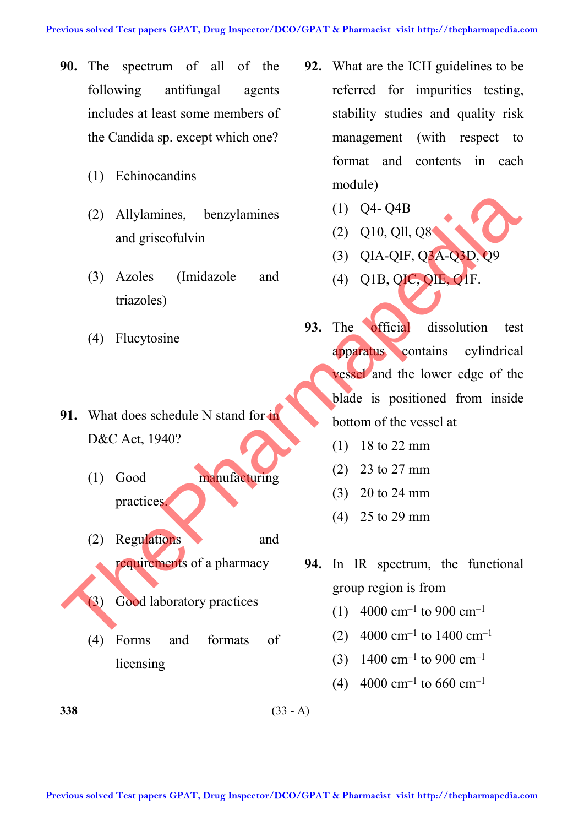- 90. The spectrum of all of the following antifungal agents includes at least some members of the Candida sp. except which one?
	- (1) Echinocandins
	- (2) Allylamines, benzylamines and griseofulvin
	- (3) Azoles (Imidazole and triazoles)
	- (4) Flucytosine
- 91. What does schedule N stand for in D&C Act, 1940?
	- (1) Good manufacturing practices.
	- (2) Regulations and requirements of a pharmacy
	- (3) Good laboratory practices
	- (4) Forms and formats of licensing
- 92. What are the ICH guidelines to be referred for impurities testing, stability studies and quality risk management (with respect to format and contents in each module) Previous solved Test papers GPAT, Drug Inspector/DCO/GPAT & Pharmacist visit https://thepharmapedia.com<br>
includes at least some nemethers of the condition spectrum of all of the preced for impurities testing,<br>
include the
	- (1) Q4- Q4B
	- (2) Q10, Qll, Q8
	- (3) QIA-QIF, Q3A-Q3D, Q9
	- (4) Q1B, QIC, QIE, Q1F.

93. The official dissolution test apparatus contains cylindrical vessel and the lower edge of the blade is positioned from inside bottom of the vessel at

- (1) 18 to 22 mm
- (2) 23 to 27 mm
- (3) 20 to 24 mm
- (4) 25 to 29 mm
- 94. In IR spectrum, the functional group region is from
	- (1) 4000 cm<sup>-1</sup> to 900 cm<sup>-1</sup>
	- (2) 4000 cm<sup>-1</sup> to 1400 cm<sup>-1</sup>
	- (3)  $1400 \text{ cm}^{-1}$  to 900 cm<sup>-1</sup>
	- (4) 4000 cm<sup>-1</sup> to 660 cm<sup>-1</sup>

 $338$  (33 - A)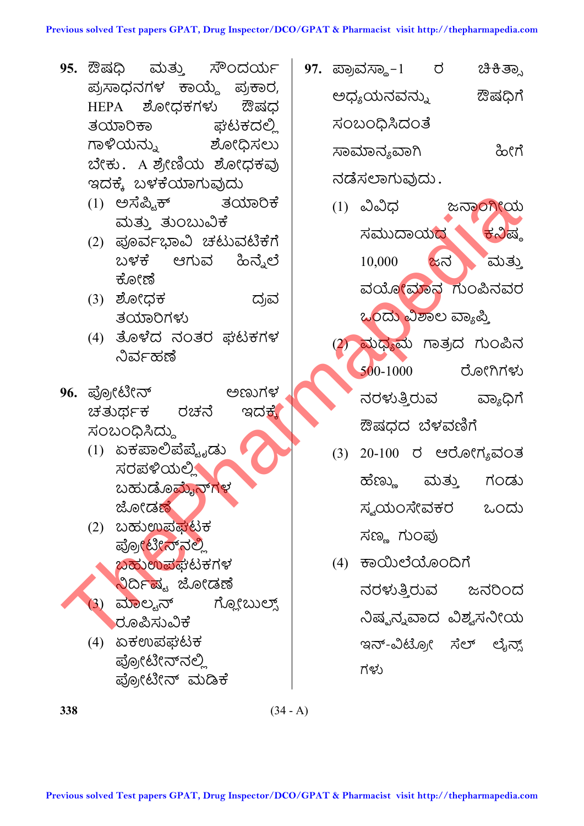- 95. ಔಷದಿ ಮತು ಸೌಂದರ್ಯ ಪ್ರಸಾಧನಗಳ ಕಾಯ್ದೆ ಪ್ರಕಾರ, HEPA ಶೋಧಕಗಳು ಔಷಧ ತ෴ค౽ ಘಟಕದย ಗಾಳಿಯನ್ನು ಶೋಧಿಸಲು ಬೇಕು. A ಶ್ರೇಣಿಯ ಶೋಧಕವು ಇದಕ್ಕೆ ಬಳಕೆಯಾಗುವುದು
	- $(1)$  ಅಸೆಪ್ಟಿಕ್ ತಯಾರಿಕೆ ಮತ್ತು ತುಂಬುವಿಕೆ
	- (2) ಪೂರ್ವಭಾವಿ ಚಟುವಟಿಕೆಗೆ ಬಳಕೆ ಆಗುವ ಹಿನ್ನೆಲೆ ಕೋಣೆ
	- (3) ಶೋಧಕ ದಾವ ತಯಾರಿಗಳು
	- (4) ತೊಳೆದ ನಂತರ ಪಟಕಗಳ ನಿರ್ಮಹಣೆ
- 96. ಪೋಟೀನ್ ಅಣುಗಳ ಚತುರ್ಥಕ ರಚನೆ ಇದ<u>ಕ್ಕೆ</u> ಸಂಬಂಧಿಸಿದ್ದು
	- $(1)$  ಏಕಪಾಲಿಪೆಪ್ಟೈಡು ಸರಪಳಿಯಲಿ∙ ಬಹುಡೊ<mark>ಮ್ಮೆನ್</mark>ಗಳ ಜೋಡ<mark>ಣೆ</mark>
	- (2) ಬಹುಉಪಘಟಕ ಪ್ರೋಟೀನ್ನಲ್ಲಿ ಬಉಪಘಟಕಗಳ <mark>ನಿರ್ದಿಷ್</mark>ಣ ಜೋಡಣೆ
	- 3) ಮಾಲ್ಯನ್ ಗೋಬುಲ್ಸ್ ರೂಪಿಸುವಿಕೆ
	- (4) ಏಕಉಪಘಟಕ <u>ಪೋ</u>ಟೀನ್**ನ**ಲಿ ಪೋಟೀನ್ ಮಡಿಕೆ
- $97.$  ಪ್ರಾವಸ್ಥಾ–1 ರ ಚಿಕಿತ್ಸಾ ಅಧ್ಯಯನವನ್ನು ಔಷಧಿಗೆ ಸಂಬಂದಿಸಿದಂತೆ ಸಾಮಾನ್ಯವಾಗಿ ಹೀಗೆ ನಡೆಸಲಾಗುವುದು.  $(1)$   $\omega$ ವಿಧ ಜನಾಂಗೀಯ ಸಮುದಾಯದ ಕನಿಷ್ಠ  $10,000$  ಜನ ಮತ್ತು ವಯೋಮಾನ ಗುಂಪಿನವರ ಒಂದು ವಿಶಾಲ ವ್ಯಾಪ್ತಿ (2) ಮಧ್ಯಮ ಗಾತ್ರದ ಗುಂಪಿನ 500-1000 ರೋಗಿಗಳು ನರಳುತ್ತಿರುವ ವ್ಯಾಧಿಗೆ ಔಷಧದ ಬೆಳವಣಿಗೆ  $(3)$  20-100 ರ ಆರೋಗ್ಯವಂತ ಹಣ್ಣು ಮತ್ತು ಗಂಡು ಸ್ವಯಂಸೇವಕರ ಒಂದು ಸಣ್ಣ ಗುಂಪು (4) ಕಾಯಿಲೆಯೊಂದಿಗೆ ನರಳುತ್ತಿರುವ ಜನರಿಂದ ನಿಷ್ಮನ್ನವಾದ ವಿಶ್ವಸನೀಯ Therian solved Test paper GPAT, Drug Inspector/AT, Drug Inspector/AT, Drug Inspector/DCO/GPAT & Pharmacist visit https://thepharmapedia.com<br>
The Park of Solved Test papers of the Computation of the Solved Test of the Solv
	- ಗಳು

ಇನ್-ವಿಟ್ರೋ ಸೆಲ್ ಲೈನ್ಸ್

 $338$  (34 - A)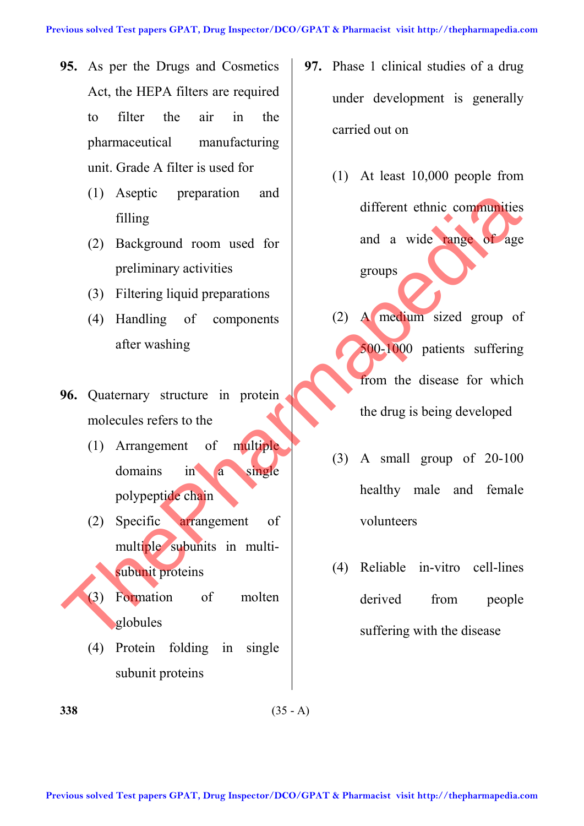- 95. As per the Drugs and Cosmetics Act, the HEPA filters are required to filter the air in the pharmaceutical manufacturing unit. Grade A filter is used for
	- (1) Aseptic preparation and filling
	- (2) Background room used for preliminary activities
	- (3) Filtering liquid preparations
	- (4) Handling of components after washing
- 96. Quaternary structure in protein molecules refers to the
	- (1) Arrangement of multiple domains in a single polypeptide chain
	- (2) Specific arrangement of multiple subunits in multisubunit proteins
	- (3) Formation of molten globules
	- (4) Protein folding in single subunit proteins
- 97. Phase 1 clinical studies of a drug under development is generally carried out on
- (1) At least 10,000 people from different ethnic communities and a wide range of age groups (2) A medium sized group of (1) Aseptic preparation and<br>
filling<br>
(2) Background room used for<br>
preliminary activities<br>
(3) Fillering liquid preparations<br>
(4) Handling of components<br>
after washing<br>
(2) A medium sized group of<br>
after washing<br>
(2) A m
	- 500-1000 patients suffering from the disease for which the drug is being developed
	- (3) A small group of 20-100 healthy male and female volunteers
	- (4) Reliable in-vitro cell-lines derived from people suffering with the disease

- 
- $338$  (35 A)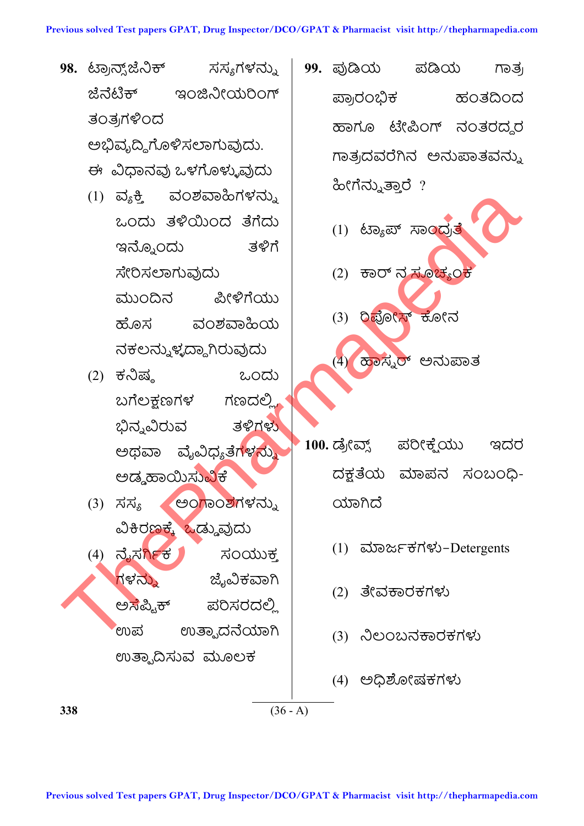- $338$  (36 A) 98. ಟ್ರಾನ್ಸ್ ಜೆನಿಕ್ ಸಸ್ಯಗಳನ್ನು ಜೆನೆಟಿಕ್ ಇಂಜಿನೀಯರಿಂಗ್ ತಂತ್ರಗಳಿಂದ ಅಭಿವೃದ್ಧಿಗೊಳಿಸಲಾಗುವುದು. ಈ ವಿಧಾನವು ಒಳಗೊಳ್ಳುವುದು (1) ವ್ಯ<del>ಕ್</del>ಕಿ ವಂಶವಾಹಿಗಳನ್ನು ಒಂದು ತಳಿಯಿಂದ ತೆಗೆದು ಇನ್ನೊಂದು ತಳಿಗೆ ಸೇರಿಸಲಾಗುವುದು ಮುಂದಿನ ಪೀಳಿಗೆಯು ಹೊಸ ವಂಶವಾಹಿಯ ನಕಲನ್ನುಳ್ಳದ್ದಾಗಿರುವುದು (2) ಕನಿಷ್ಠ ಒಂದು ಬಗೆಲಕ್ಷಣಗಳ ಗಣದಲ್ಲಿ, ಭಿನ್ನವಿರುವ ತಳಿಗಳು ಅಥವಾ ವೈವಿಧ್ಯತೆಗಳನ್ನು ಅಡ್ಮಹಾಯಿಸುವಿಕೆ  $(3)$  ಸಸ್ಯ ಅಂಗಾಂಶಗಳನ್ನು ವಿಕಿರ<u>ಣಕೆ.</u> ಒಡ್ಡುವುದು  $(4)$  ನೈಸರ್ಗಿಕ ಕಾರುವು ಗಳನ್ನು ಜೈವಿಕವಾಗಿ ಅಸೆಪ್ಟಿಕ್ ಪರಿಸರದಲ್ಲಿ ಉಪ ಉತ್ಪಾದನೆಯಾಗಿ ಉತ್ಪಾದಿಸುವ ಮೂಲಕ Previous wheat Test paper GPAT, Drug Inspector/DCO/GPAT & Pharmacist visit https://thepharmapedia.com<br>
303. ಟ್ರಾನ್ಸ್ರಜೆನಿಕ್ ಇಂಜಿನಿೇಯರಿಂಗ್ ಪ್ರಾಕರಂಭಿಕ ಹಂತದಿಂದ<br>
ತಂತ್ರಗಳಿಂದ ಹಾಗೂ ಟೇಪಿಂಗ್ ನಂತರದ್ದರ<br>
ಅಭಿವೃದ್ಧಿಗೊಳಿಸಲಾಗುವುದು.<br>
(
	- 99. ಪುಡಿಯ ಪಡಿಯ ಗಾತ್ರ ಪ್ರಾರಂಭಿಕ ಹಂತದಿಂದ ಹಾಗೂ ಟೇಪಿಂಗ್ ನಂತರದ್ದರ ಗಾತ್ರದವರೆಗಿನ ಅನುಪಾತವನ್ನು ಹೀಗೆನ್ನುತ್ತಾರೆ ? (1) ಟ್ಯಾಪ್ ಸಾಂದ್ರತ  $(2)$  ಕಾರ್ ನ ಸೂಚ್ಯಂಕ
		- ಹಾಸ್ಟರ್ ಅನುಪಾತ

(3) ರಿಪೋಸ್ ಕೋನ

- 100. ಡ್ರೇವ್ಸ್ ಪರೀಕ್ತೆಯು ಇದರ ದಕ್ಷತೆಯ ಮಾಪನ ಸಂಬಂಧಿ-ಯಾಗಿದೆ
	- (1) ಮಾರ್ಜಕಗಳು-Detergents
	- $(2)$  ತೇವಕಾರಕಗಳು
	- (3) ನಿಲಂಬನಕಾರಕಗಳು
	- (4) ಅಧಿಶೋಷಕಗಳು

**Previous solved Test papers GPAT, Drug Inspector/DCO/GPAT & Pharmacist visit http://thepharmapedia.com**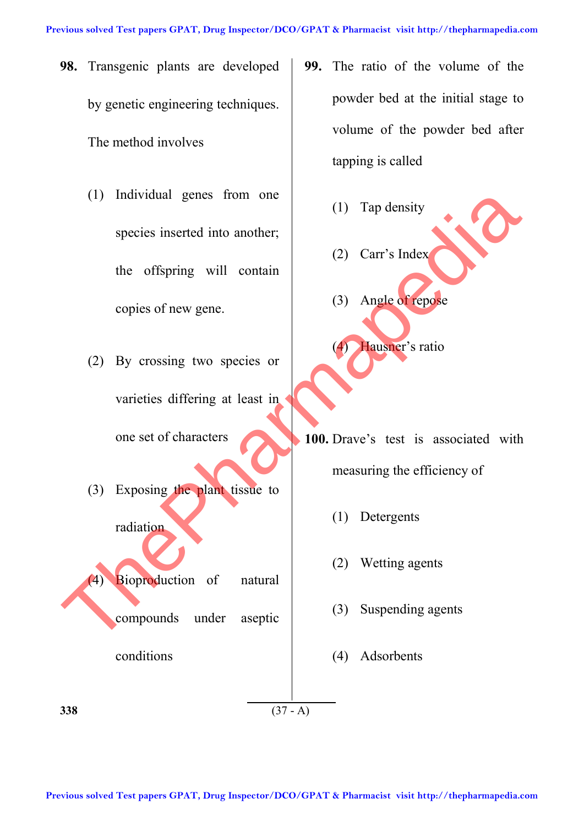- 98. Transgenic plants are developed by genetic engineering techniques. The method involves
- (1) Individual genes from one species inserted into another; the offspring will contain copies of new gene. (1) Individual genes from one<br>species inserted into another;<br>the offspring will contain<br>copies of new gene.<br>(2) By crossing two species or<br>varieties differing at least in<br>one set of characters<br>(3) Exposing the plans tissu
	- (2) By crossing two species or varieties differing at least in one set of characters
	- (3) Exposing the plant tissue to
		- radiation
	- (4) Bioproduction of natural
		- compounds under aseptic
			- conditions
- 99. The ratio of the volume of the powder bed at the initial stage to volume of the powder bed after tapping is called
	- (1) Tap density
	- (2) Carr's Index

(3) Angle of repose

(4) Hausner's ratio

- 100. Drave's test is associated with measuring the efficiency of
	- (1) Detergents
	- (2) Wetting agents
	- (3) Suspending agents
	- (4) Adsorbents

 $338$  (37 - A)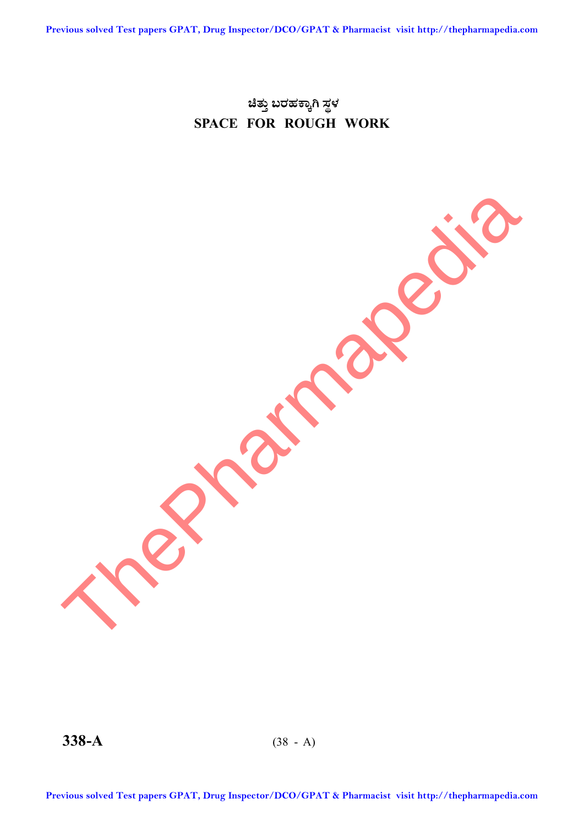# SPACE FOR ROUGH WORK **Pharmacist Solven Solven Solven Solven Solven Solven Review Solven Solven Review Solven Solven Solven Solven Solven Solven Review Solven Solven Review Solven Solven Solven Review Solven Solven Solven Solven Solven Solven**

 $338-A$  (38 - A)

**Previous solved Test papers GPAT, Drug Inspector/DCO/GPAT & Pharmacist visit http://thepharmapedia.com**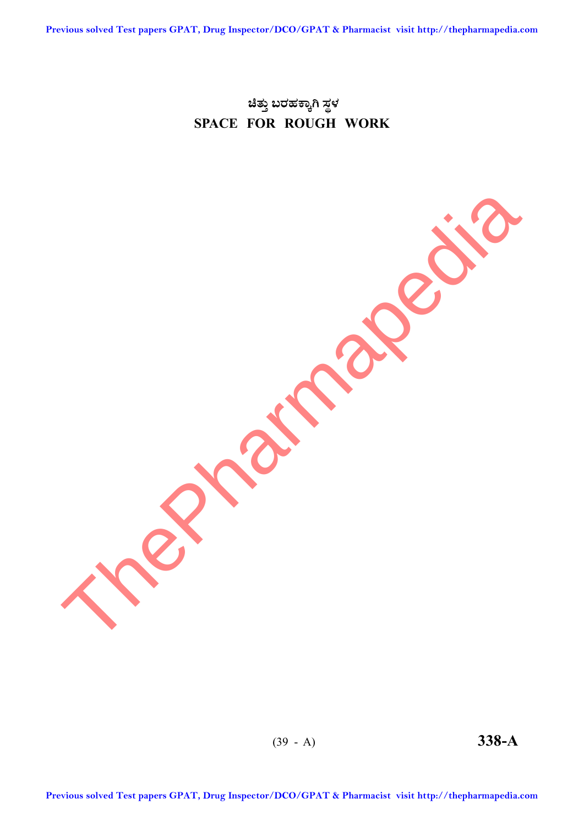# SPACE FOR ROUGH WORK

**Pharmacist Solven Solven Solven Solven Solven Solven Review Solven Solven Review Solven Solven Solven Solven Solven Solven Review Solven Solven Review Solven Solven Solven Review Solven Solven Solven Solven Solven Solven**